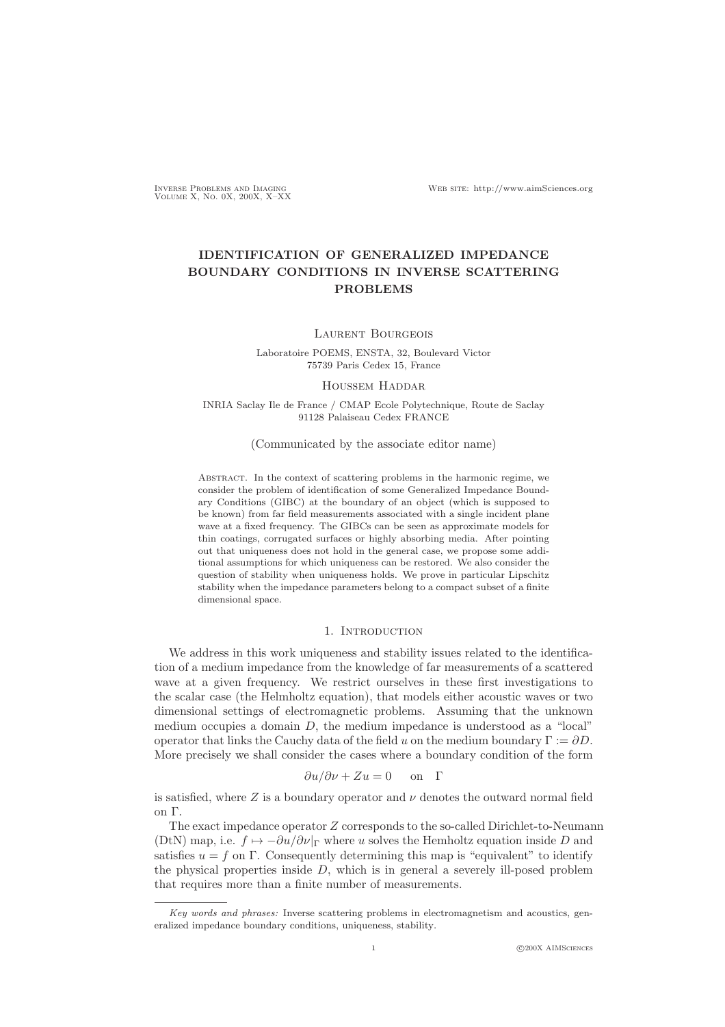# IDENTIFICATION OF GENERALIZED IMPEDANCE BOUNDARY CONDITIONS IN INVERSE SCATTERING PROBLEMS

### Laurent Bourgeois

Laboratoire POEMS, ENSTA, 32, Boulevard Victor 75739 Paris Cedex 15, France

### Houssem Haddar

INRIA Saclay Ile de France / CMAP Ecole Polytechnique, Route de Saclay 91128 Palaiseau Cedex FRANCE

### (Communicated by the associate editor name)

Abstract. In the context of scattering problems in the harmonic regime, we consider the problem of identification of some Generalized Impedance Boundary Conditions (GIBC) at the boundary of an object (which is supposed to be known) from far field measurements associated with a single incident plane wave at a fixed frequency. The GIBCs can be seen as approximate models for thin coatings, corrugated surfaces or highly absorbing media. After pointing out that uniqueness does not hold in the general case, we propose some additional assumptions for which uniqueness can be restored. We also consider the question of stability when uniqueness holds. We prove in particular Lipschitz stability when the impedance parameters belong to a compact subset of a finite dimensional space.

## 1. INTRODUCTION

We address in this work uniqueness and stability issues related to the identification of a medium impedance from the knowledge of far measurements of a scattered wave at a given frequency. We restrict ourselves in these first investigations to the scalar case (the Helmholtz equation), that models either acoustic waves or two dimensional settings of electromagnetic problems. Assuming that the unknown medium occupies a domain D, the medium impedance is understood as a "local" operator that links the Cauchy data of the field u on the medium boundary  $\Gamma := \partial D$ . More precisely we shall consider the cases where a boundary condition of the form

$$
\frac{\partial u}{\partial \nu} + Z u = 0 \quad \text{on} \quad \Gamma
$$

is satisfied, where Z is a boundary operator and  $\nu$  denotes the outward normal field on Γ.

The exact impedance operator Z corresponds to the so-called Dirichlet-to-Neumann (DtN) map, i.e.  $f \mapsto -\frac{\partial u}{\partial v}|_{\Gamma}$  where u solves the Hemholtz equation inside D and satisfies  $u = f$  on  $\Gamma$ . Consequently determining this map is "equivalent" to identify the physical properties inside  $D$ , which is in general a severely ill-posed problem that requires more than a finite number of measurements.

*Key words and phrases:* Inverse scattering problems in electromagnetism and acoustics, generalized impedance boundary conditions, uniqueness, stability.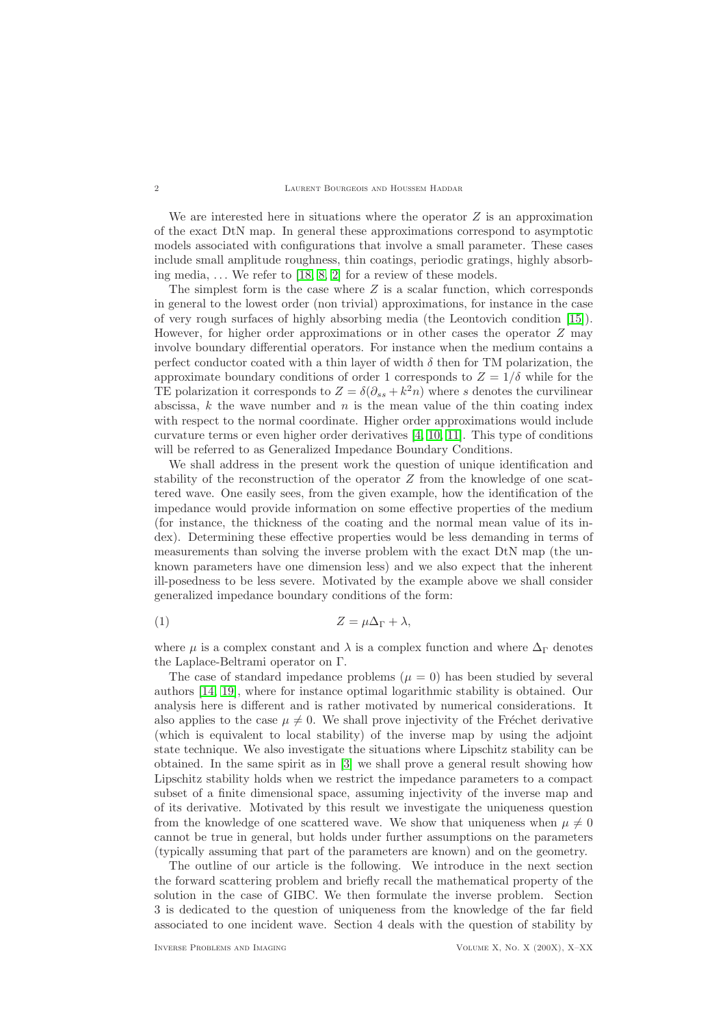We are interested here in situations where the operator  $Z$  is an approximation of the exact DtN map. In general these approximations correspond to asymptotic models associated with configurations that involve a small parameter. These cases include small amplitude roughness, thin coatings, periodic gratings, highly absorbing media,  $\dots$  We refer to [\[18,](#page-19-0) [8,](#page-19-1) [2\]](#page-19-2) for a review of these models.

The simplest form is the case where  $Z$  is a scalar function, which corresponds in general to the lowest order (non trivial) approximations, for instance in the case of very rough surfaces of highly absorbing media (the Leontovich condition [\[15\]](#page-19-3)). However, for higher order approximations or in other cases the operator Z may involve boundary differential operators. For instance when the medium contains a perfect conductor coated with a thin layer of width  $\delta$  then for TM polarization, the approximate boundary conditions of order 1 corresponds to  $Z = 1/\delta$  while for the TE polarization it corresponds to  $Z = \delta(\partial_{ss} + k^2 n)$  where s denotes the curvilinear abscissa,  $k$  the wave number and  $n$  is the mean value of the thin coating index with respect to the normal coordinate. Higher order approximations would include curvature terms or even higher order derivatives [\[4,](#page-19-4) [10,](#page-19-5) [11\]](#page-19-6). This type of conditions will be referred to as Generalized Impedance Boundary Conditions.

We shall address in the present work the question of unique identification and stability of the reconstruction of the operator Z from the knowledge of one scattered wave. One easily sees, from the given example, how the identification of the impedance would provide information on some effective properties of the medium (for instance, the thickness of the coating and the normal mean value of its index). Determining these effective properties would be less demanding in terms of measurements than solving the inverse problem with the exact DtN map (the unknown parameters have one dimension less) and we also expect that the inherent ill-posedness to be less severe. Motivated by the example above we shall consider generalized impedance boundary conditions of the form:

$$
(1) \t\t Z = \mu \Delta_{\Gamma} + \lambda,
$$

where  $\mu$  is a complex constant and  $\lambda$  is a complex function and where  $\Delta_{\Gamma}$  denotes the Laplace-Beltrami operator on Γ.

The case of standard impedance problems ( $\mu = 0$ ) has been studied by several authors [\[14,](#page-19-7) [19\]](#page-19-8), where for instance optimal logarithmic stability is obtained. Our analysis here is different and is rather motivated by numerical considerations. It also applies to the case  $\mu \neq 0$ . We shall prove injectivity of the Fréchet derivative (which is equivalent to local stability) of the inverse map by using the adjoint state technique. We also investigate the situations where Lipschitz stability can be obtained. In the same spirit as in [\[3\]](#page-19-9) we shall prove a general result showing how Lipschitz stability holds when we restrict the impedance parameters to a compact subset of a finite dimensional space, assuming injectivity of the inverse map and of its derivative. Motivated by this result we investigate the uniqueness question from the knowledge of one scattered wave. We show that uniqueness when  $\mu \neq 0$ cannot be true in general, but holds under further assumptions on the parameters (typically assuming that part of the parameters are known) and on the geometry.

The outline of our article is the following. We introduce in the next section the forward scattering problem and briefly recall the mathematical property of the solution in the case of GIBC. We then formulate the inverse problem. Section 3 is dedicated to the question of uniqueness from the knowledge of the far field associated to one incident wave. Section 4 deals with the question of stability by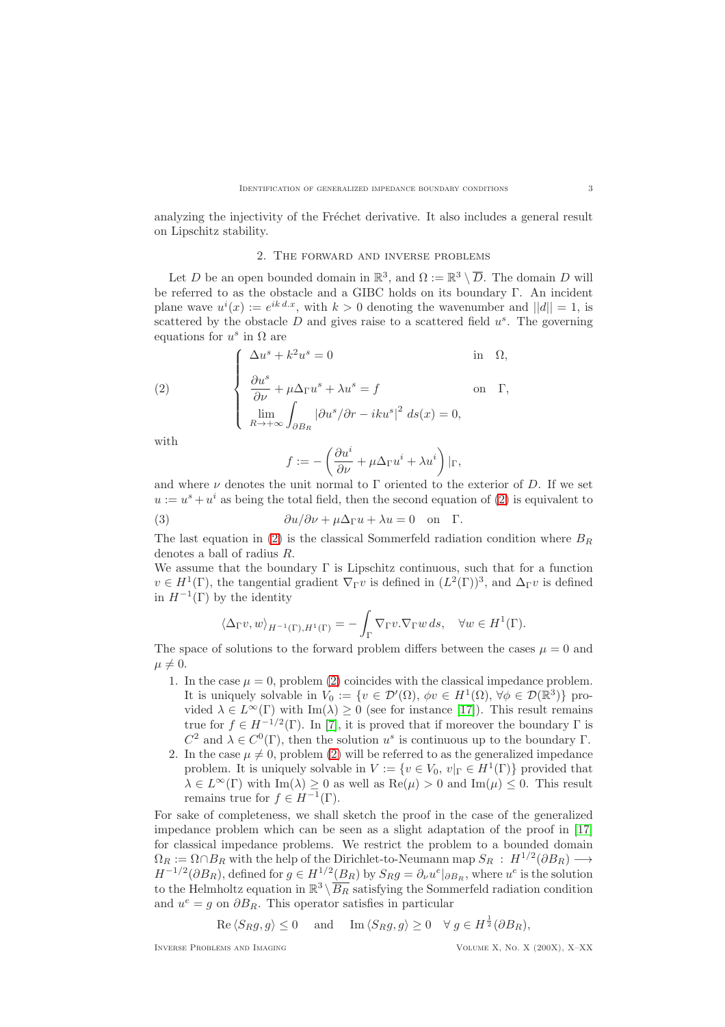<span id="page-2-1"></span>analyzing the injectivity of the Fréchet derivative. It also includes a general result on Lipschitz stability.

### 2. The forward and inverse problems

Let D be an open bounded domain in  $\mathbb{R}^3$ , and  $\Omega := \mathbb{R}^3 \setminus \overline{D}$ . The domain D will be referred to as the obstacle and a GIBC holds on its boundary Γ. An incident plane wave  $u^{i}(x) := e^{ik \, d.x}$ , with  $k > 0$  denoting the wavenumber and  $||d|| = 1$ , is scattered by the obstacle  $D$  and gives raise to a scattered field  $u<sup>s</sup>$ . The governing equations for  $u^s$  in  $\Omega$  are

(2) 
$$
\begin{cases} \Delta u^{s} + k^{2}u^{s} = 0 & \text{in } \Omega, \\ \frac{\partial u^{s}}{\partial \nu} + \mu \Delta_{\Gamma} u^{s} + \lambda u^{s} = f & \text{on } \Gamma, \\ \lim_{R \to +\infty} \int_{\partial B_{R}} |\partial u^{s}/\partial r - iku^{s}|^{2} ds(x) = 0, \end{cases}
$$

with

<span id="page-2-0"></span>
$$
f := -\left(\frac{\partial u^i}{\partial \nu} + \mu \Delta_{\Gamma} u^i + \lambda u^i\right)|_{\Gamma},
$$

and where  $\nu$  denotes the unit normal to  $\Gamma$  oriented to the exterior of D. If we set  $u := u<sup>s</sup> + u<sup>i</sup>$  as being the total field, then the second equation of [\(2\)](#page-2-0) is equivalent to

(3) 
$$
\frac{\partial u}{\partial \nu} + \mu \Delta_{\Gamma} u + \lambda u = 0 \text{ on } \Gamma.
$$

The last equation in [\(2\)](#page-2-0) is the classical Sommerfeld radiation condition where  $B_R$ denotes a ball of radius R.

We assume that the boundary  $\Gamma$  is Lipschitz continuous, such that for a function  $v \in H^1(\Gamma)$ , the tangential gradient  $\nabla_{\Gamma} v$  is defined in  $(L^2(\Gamma))^3$ , and  $\Delta_{\Gamma} v$  is defined in  $H^{-1}(\Gamma)$  by the identity

$$
\langle \Delta_{\Gamma} v, w \rangle_{H^{-1}(\Gamma), H^1(\Gamma)} = - \int_{\Gamma} \nabla_{\Gamma} v. \nabla_{\Gamma} w \, ds, \quad \forall w \in H^1(\Gamma).
$$

The space of solutions to the forward problem differs between the cases  $\mu = 0$  and  $\mu \neq 0.$ 

- 1. In the case  $\mu = 0$ , problem [\(2\)](#page-2-0) coincides with the classical impedance problem. It is uniquely solvable in  $V_0 := \{v \in \mathcal{D}'(\Omega), \, \phi v \in H^1(\Omega), \, \forall \phi \in \mathcal{D}(\mathbb{R}^3) \}$  provided  $\lambda \in L^{\infty}(\Gamma)$  with Im( $\lambda$ )  $\geq 0$  (see for instance [\[17\]](#page-19-10)). This result remains true for  $f \in H^{-1/2}(\Gamma)$ . In [\[7\]](#page-19-11), it is proved that if moreover the boundary  $\Gamma$  is  $C^2$  and  $λ ∈ C<sup>0</sup>(Γ)$ , then the solution u<sup>s</sup> is continuous up to the boundary Γ.
- 2. In the case  $\mu \neq 0$ , problem [\(2\)](#page-2-0) will be referred to as the generalized impedance problem. It is uniquely solvable in  $V := \{v \in V_0, v|_{\Gamma} \in H^1(\Gamma) \}$  provided that  $\lambda \in L^{\infty}(\Gamma)$  with  $\text{Im}(\lambda) \geq 0$  as well as  $\text{Re}(\mu) > 0$  and  $\text{Im}(\mu) \leq 0$ . This result remains true for  $f \in H^{-1}(\Gamma)$ .

For sake of completeness, we shall sketch the proof in the case of the generalized impedance problem which can be seen as a slight adaptation of the proof in [\[17\]](#page-19-10) for classical impedance problems. We restrict the problem to a bounded domain  $\Omega_R := \Omega \cap B_R$  with the help of the Dirichlet-to-Neumann map  $S_R : H^{1/2}(\partial B_R) \longrightarrow$  $H^{-1/2}(\partial B_R)$ , defined for  $g \in H^{1/2}(B_R)$  by  $S_R g = \partial_\nu u^e|_{\partial B_R}$ , where  $u^e$  is the solution to the Helmholtz equation in  $\mathbb{R}^3 \setminus \overline{B_R}$  satisfying the Sommerfeld radiation condition and  $u^e = g$  on  $\partial B_R$ . This operator satisfies in particular

$$
\text{Re}\langle S_R g, g \rangle \le 0
$$
 and  $\text{Im}\langle S_R g, g \rangle \ge 0$   $\forall g \in H^{\frac{1}{2}}(\partial B_R),$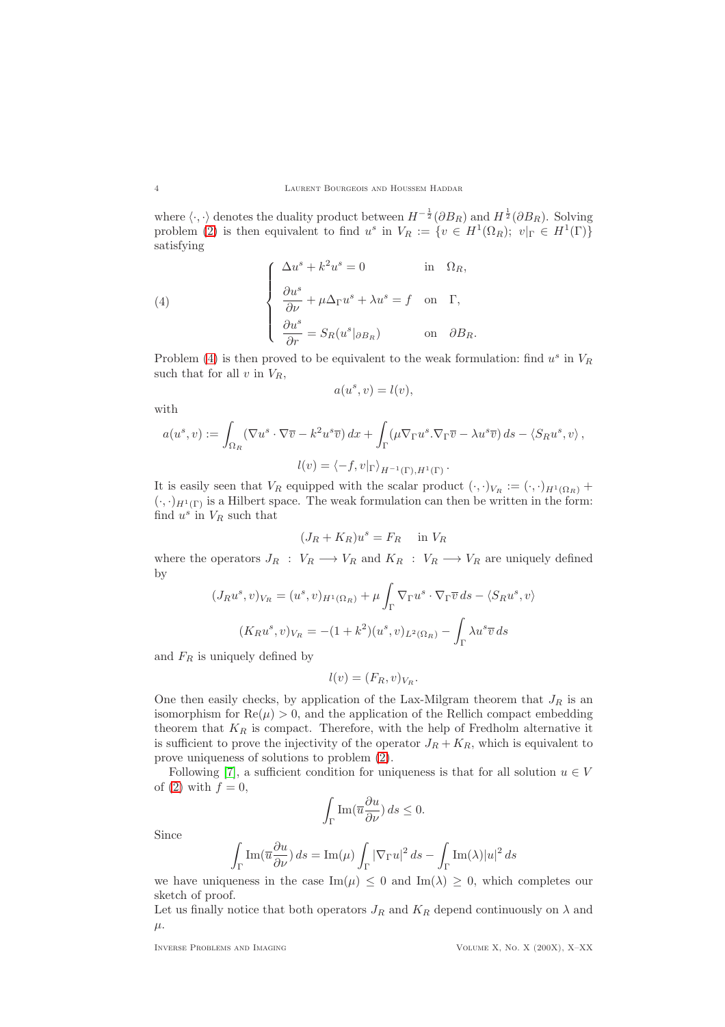where  $\langle \cdot, \cdot \rangle$  denotes the duality product between  $H^{-\frac{1}{2}}(\partial B_R)$  and  $H^{\frac{1}{2}}(\partial B_R)$ . Solving problem [\(2\)](#page-2-0) is then equivalent to find  $u^s$  in  $V_R := \{v \in H^1(\Omega_R); v|_{\Gamma} \in H^1(\Gamma)\}\$ satisfying

(4) 
$$
\begin{cases} \Delta u^{s} + k^{2}u^{s} = 0 & \text{in } \Omega_{R}, \\ \frac{\partial u^{s}}{\partial \nu} + \mu \Delta_{\Gamma} u^{s} + \lambda u^{s} = f & \text{on } \Gamma, \\ \frac{\partial u^{s}}{\partial r} = S_{R}(u^{s}|_{\partial B_{R}}) & \text{on } \partial B_{R}. \end{cases}
$$

Problem [\(4\)](#page-3-0) is then proved to be equivalent to the weak formulation: find  $u^s$  in  $V_R$ such that for all  $v$  in  $V_R$ ,

<span id="page-3-0"></span>
$$
a(u^s, v) = l(v),
$$

with

$$
a(u^s, v) := \int_{\Omega_R} (\nabla u^s \cdot \nabla \overline{v} - k^2 u^s \overline{v}) \, dx + \int_{\Gamma} (\mu \nabla_{\Gamma} u^s \cdot \nabla_{\Gamma} \overline{v} - \lambda u^s \overline{v}) \, ds - \langle S_R u^s, v \rangle,
$$

$$
l(v) = \langle -f, v |_{\Gamma} \rangle_{H^{-1}(\Gamma), H^1(\Gamma)}.
$$

It is easily seen that  $V_R$  equipped with the scalar product  $(\cdot, \cdot)_{V_R} := (\cdot, \cdot)_{H^1(\Omega_R)} +$  $(\cdot, \cdot)_{H^1(\Gamma)}$  is a Hilbert space. The weak formulation can then be written in the form: find  $u^s$  in  $V_R$  such that

$$
(J_R + K_R)u^s = F_R \quad \text{in } V_R
$$

where the operators  $J_R$ :  $V_R \longrightarrow V_R$  and  $K_R$ :  $V_R \longrightarrow V_R$  are uniquely defined by

$$
(J_R u^s, v)_{V_R} = (u^s, v)_{H^1(\Omega_R)} + \mu \int_{\Gamma} \nabla_{\Gamma} u^s \cdot \nabla_{\Gamma} \overline{v} ds - \langle S_R u^s, v \rangle
$$

$$
(K_R u^s, v)_{V_R} = -(1 + k^2)(u^s, v)_{L^2(\Omega_R)} - \int_{\Gamma} \lambda u^s \overline{v} ds
$$

and  $F_R$  is uniquely defined by

$$
l(v) = (F_R, v)_{V_R}.
$$

One then easily checks, by application of the Lax-Milgram theorem that  $J_R$  is an isomorphism for  $\text{Re}(\mu) > 0$ , and the application of the Rellich compact embedding theorem that  $K_R$  is compact. Therefore, with the help of Fredholm alternative it is sufficient to prove the injectivity of the operator  $J_R + K_R$ , which is equivalent to prove uniqueness of solutions to problem [\(2\)](#page-2-0).

Following [\[7\]](#page-19-11), a sufficient condition for uniqueness is that for all solution  $u \in V$ of [\(2\)](#page-2-0) with  $f = 0$ ,

$$
\int_{\Gamma} \text{Im}(\overline{u} \frac{\partial u}{\partial \nu}) ds \le 0.
$$

Since

$$
\int_{\Gamma} \text{Im}(\overline{u} \frac{\partial u}{\partial \nu}) ds = \text{Im}(\mu) \int_{\Gamma} |\nabla_{\Gamma} u|^2 ds - \int_{\Gamma} \text{Im}(\lambda) |u|^2 ds
$$

we have uniqueness in the case  $\text{Im}(\mu) \leq 0$  and  $\text{Im}(\lambda) \geq 0$ , which completes our sketch of proof.

Let us finally notice that both operators  $J_R$  and  $K_R$  depend continuously on  $\lambda$  and  $\mu$ .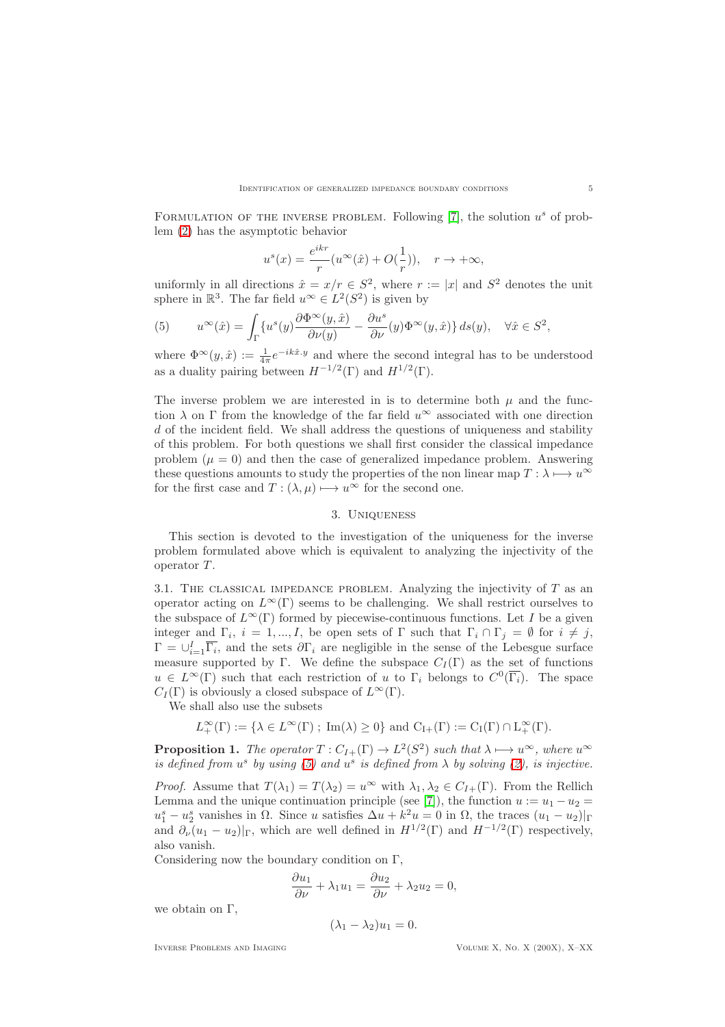FORMULATION OF THE INVERSE PROBLEM. Following  $[7]$ , the solution  $u^s$  of problem [\(2\)](#page-2-0) has the asymptotic behavior

$$
u^{s}(x) = \frac{e^{ikr}}{r}(u^{\infty}(\hat{x}) + O(\frac{1}{r})), \quad r \to +\infty,
$$

uniformly in all directions  $\hat{x} = x/r \in S^2$ , where  $r := |x|$  and  $S^2$  denotes the unit sphere in  $\mathbb{R}^3$ . The far field  $u^{\infty} \in L^2(S^2)$  is given by

<span id="page-4-0"></span>(5) 
$$
u^{\infty}(\hat{x}) = \int_{\Gamma} \{u^{s}(y) \frac{\partial \Phi^{\infty}(y, \hat{x})}{\partial \nu(y)} - \frac{\partial u^{s}}{\partial \nu}(y) \Phi^{\infty}(y, \hat{x})\} ds(y), \quad \forall \hat{x} \in S^{2},
$$

where  $\Phi^{\infty}(y, \hat{x}) := \frac{1}{4\pi} e^{-ik\hat{x}\cdot y}$  and where the second integral has to be understood as a duality pairing between  $H^{-1/2}(\Gamma)$  and  $H^{1/2}(\Gamma)$ .

The inverse problem we are interested in is to determine both  $\mu$  and the function  $\lambda$  on  $\Gamma$  from the knowledge of the far field  $u^{\infty}$  associated with one direction d of the incident field. We shall address the questions of uniqueness and stability of this problem. For both questions we shall first consider the classical impedance problem  $(\mu = 0)$  and then the case of generalized impedance problem. Answering these questions amounts to study the properties of the non linear map  $T : \lambda \longmapsto u^{\infty}$ for the first case and  $T : (\lambda, \mu) \mapsto u^{\infty}$  for the second one.

## 3. Uniqueness

This section is devoted to the investigation of the uniqueness for the inverse problem formulated above which is equivalent to analyzing the injectivity of the operator T.

3.1. THE CLASSICAL IMPEDANCE PROBLEM. Analyzing the injectivity of  $T$  as an operator acting on  $L^{\infty}(\Gamma)$  seems to be challenging. We shall restrict ourselves to the subspace of  $L^{\infty}(\Gamma)$  formed by piecewise-continuous functions. Let I be a given integer and  $\Gamma_i$ ,  $i = 1, ..., I$ , be open sets of  $\Gamma$  such that  $\Gamma_i \cap \Gamma_j = \emptyset$  for  $i \neq j$ ,  $\Gamma = \bigcup_{i=1}^{I} \overline{\Gamma_i}$ , and the sets  $\partial \Gamma_i$  are negligible in the sense of the Lebesgue surface measure supported by Γ. We define the subspace  $C_I(\Gamma)$  as the set of functions  $u \in L^{\infty}(\Gamma)$  such that each restriction of u to  $\Gamma_i$  belongs to  $C^0(\overline{\Gamma_i})$ . The space  $C_I(\Gamma)$  is obviously a closed subspace of  $L^{\infty}(\Gamma)$ .

We shall also use the subsets

$$
L^\infty_+(\Gamma):=\{\lambda\in L^\infty(\Gamma)\ ;\ \mathrm{Im}(\lambda)\geq 0\} \ \mathrm{and} \ C_{I+}(\Gamma):=C_I(\Gamma)\cap L^\infty_+(\Gamma).
$$

<span id="page-4-1"></span>**Proposition 1.** *The operator*  $T: C_{I+}(\Gamma) \to L^2(S^2)$  *such that*  $\lambda \mapsto u^{\infty}$ *, where*  $u^{\infty}$ *is defined from*  $u^s$  *by using* [\(5\)](#page-4-0) and  $u^s$  *is defined from*  $\lambda$  *by solving* [\(2\)](#page-2-0)*, is injective.* 

*Proof.* Assume that  $T(\lambda_1) = T(\lambda_2) = u^{\infty}$  with  $\lambda_1, \lambda_2 \in C_{I+}(\Gamma)$ . From the Rellich Lemma and the unique continuation principle (see [\[7\]](#page-19-11)), the function  $u := u_1 - u_2 =$  $u_1^s - u_2^s$  vanishes in  $\Omega$ . Since u satisfies  $\Delta u + k^2 u = 0$  in  $\Omega$ , the traces  $(u_1 - u_2)|_{\Gamma}$ and  $\partial_{\nu}(u_1 - u_2)|_{\Gamma}$ , which are well defined in  $H^{1/2}(\Gamma)$  and  $H^{-1/2}(\Gamma)$  respectively, also vanish.

Considering now the boundary condition on Γ,

$$
\frac{\partial u_1}{\partial \nu} + \lambda_1 u_1 = \frac{\partial u_2}{\partial \nu} + \lambda_2 u_2 = 0,
$$

we obtain on  $\Gamma$ ,

$$
(\lambda_1 - \lambda_2)u_1 = 0.
$$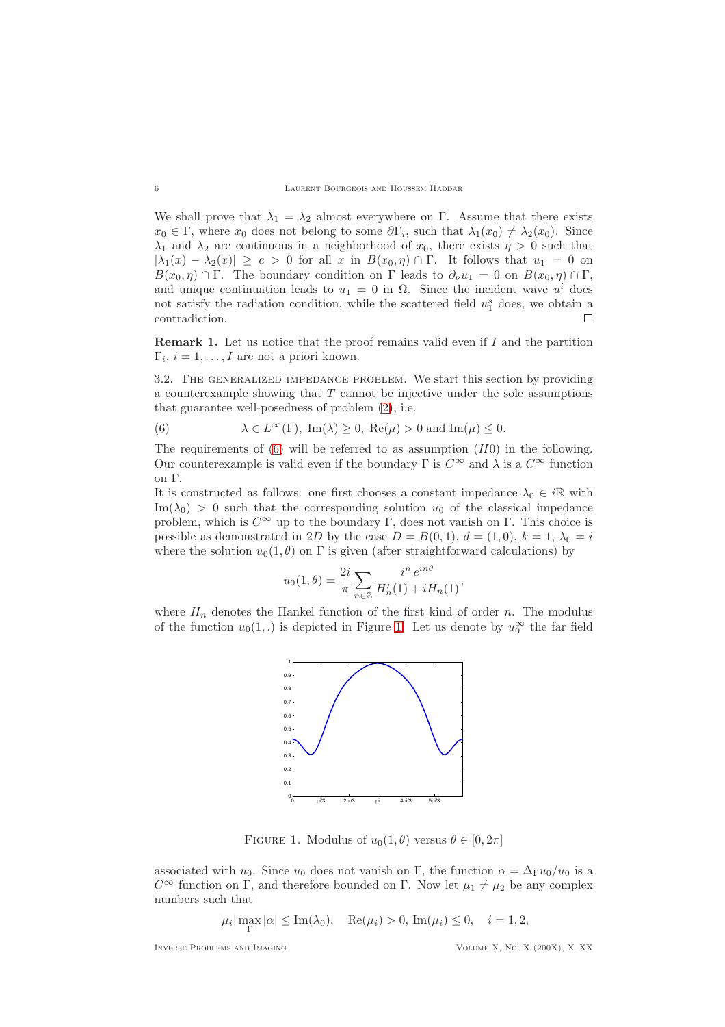We shall prove that  $\lambda_1 = \lambda_2$  almost everywhere on Γ. Assume that there exists  $x_0 \in \Gamma$ , where  $x_0$  does not belong to some  $\partial \Gamma_i$ , such that  $\lambda_1(x_0) \neq \lambda_2(x_0)$ . Since  $\lambda_1$  and  $\lambda_2$  are continuous in a neighborhood of  $x_0$ , there exists  $\eta > 0$  such that  $|\lambda_1(x) - \lambda_2(x)| \geq c > 0$  for all x in  $B(x_0, \eta) \cap \Gamma$ . It follows that  $u_1 = 0$  on  $B(x_0, \eta) \cap \Gamma$ . The boundary condition on  $\Gamma$  leads to  $\partial_{\nu} u_1 = 0$  on  $B(x_0, \eta) \cap \Gamma$ , and unique continuation leads to  $u_1 = 0$  in  $\Omega$ . Since the incident wave  $u^i$  does not satisfy the radiation condition, while the scattered field  $u_1^s$  does, we obtain a contradiction.  $\Box$ 

**Remark 1.** Let us notice that the proof remains valid even if  $I$  and the partition  $\Gamma_i, i = 1, \ldots, I$  are not a priori known.

3.2. The generalized impedance problem. We start this section by providing a counterexample showing that  $T$  cannot be injective under the sole assumptions that guarantee well-posedness of problem [\(2\)](#page-2-0), i.e.

<span id="page-5-0"></span>(6) 
$$
\lambda \in L^{\infty}(\Gamma)
$$
,  $\text{Im}(\lambda) \ge 0$ ,  $\text{Re}(\mu) > 0$  and  $\text{Im}(\mu) \le 0$ .

The requirements of [\(6\)](#page-5-0) will be referred to as assumption  $(H0)$  in the following. Our counterexample is valid even if the boundary  $\Gamma$  is  $C^{\infty}$  and  $\lambda$  is a  $C^{\infty}$  function on Γ.

It is constructed as follows: one first chooses a constant impedance  $\lambda_0 \in i\mathbb{R}$  with  $\text{Im}(\lambda_0) > 0$  such that the corresponding solution  $u_0$  of the classical impedance problem, which is  $C^{\infty}$  up to the boundary Γ, does not vanish on Γ. This choice is possible as demonstrated in 2D by the case  $D = B(0, 1), d = (1, 0), k = 1, \lambda_0 = i$ where the solution  $u_0(1, \theta)$  on  $\Gamma$  is given (after straightforward calculations) by

$$
u_0(1,\theta) = \frac{2i}{\pi} \sum_{n \in \mathbb{Z}} \frac{i^n e^{in\theta}}{H'_n(1) + iH_n(1)},
$$

where  $H_n$  denotes the Hankel function of the first kind of order n. The modulus of the function  $u_0(1,.)$  is depicted in Figure [1.](#page-5-1) Let us denote by  $u_0^{\infty}$  the far field



<span id="page-5-1"></span>FIGURE 1. Modulus of  $u_0(1,\theta)$  versus  $\theta \in [0,2\pi]$ 

associated with  $u_0$ . Since  $u_0$  does not vanish on Γ, the function  $\alpha = \Delta_\Gamma u_0/u_0$  is a  $C^{\infty}$  function on Γ, and therefore bounded on Γ. Now let  $\mu_1 \neq \mu_2$  be any complex numbers such that

 $|\mu_i| \max_{\Gamma} |\alpha| \leq \text{Im}(\lambda_0), \quad \text{Re}(\mu_i) > 0, \text{Im}(\mu_i) \leq 0, \quad i = 1, 2,$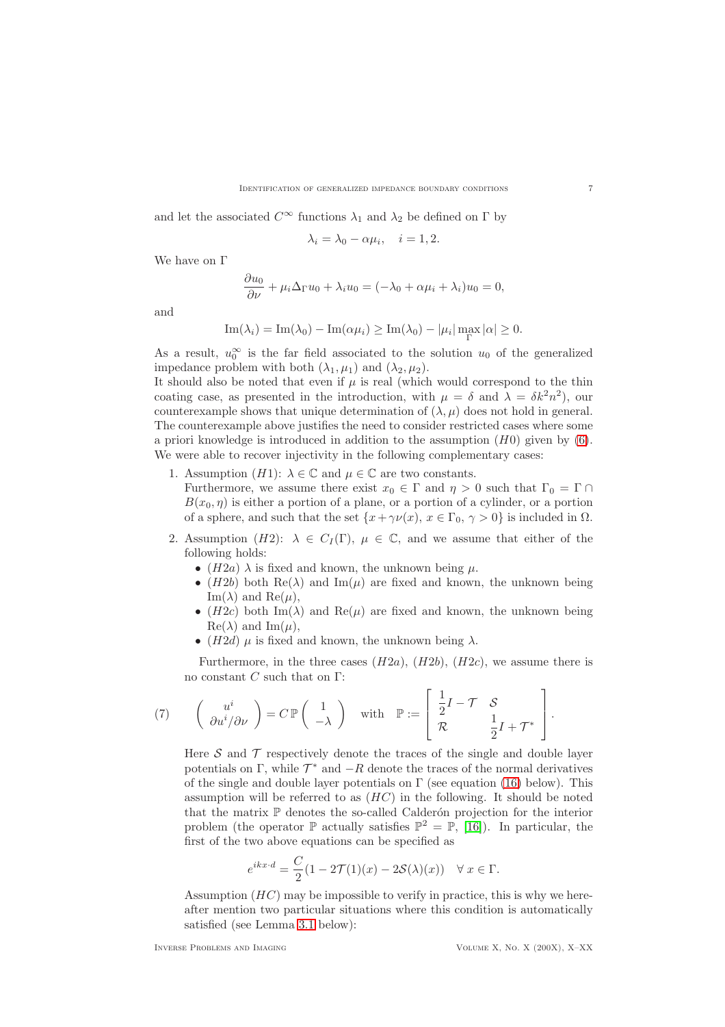and let the associated  $C^{\infty}$  functions  $\lambda_1$  and  $\lambda_2$  be defined on  $\Gamma$  by

$$
\lambda_i = \lambda_0 - \alpha \mu_i, \quad i = 1, 2.
$$

We have on Γ

$$
\frac{\partial u_0}{\partial \nu} + \mu_i \Delta_{\Gamma} u_0 + \lambda_i u_0 = (-\lambda_0 + \alpha \mu_i + \lambda_i) u_0 = 0,
$$

and

$$
\operatorname{Im}(\lambda_i) = \operatorname{Im}(\lambda_0) - \operatorname{Im}(\alpha \mu_i) \ge \operatorname{Im}(\lambda_0) - |\mu_i| \max_{\Gamma} |\alpha| \ge 0.
$$

As a result,  $u_0^{\infty}$  is the far field associated to the solution  $u_0$  of the generalized impedance problem with both  $(\lambda_1, \mu_1)$  and  $(\lambda_2, \mu_2)$ .

It should also be noted that even if  $\mu$  is real (which would correspond to the thin coating case, as presented in the introduction, with  $\mu = \delta$  and  $\lambda = \delta k^2 n^2$ , our counterexample shows that unique determination of  $(\lambda, \mu)$  does not hold in general. The counterexample above justifies the need to consider restricted cases where some a priori knowledge is introduced in addition to the assumption  $(H0)$  given by  $(6)$ . We were able to recover injectivity in the following complementary cases:

1. Assumption  $(H1)$ :  $\lambda \in \mathbb{C}$  and  $\mu \in \mathbb{C}$  are two constants.

Furthermore, we assume there exist  $x_0 \in \Gamma$  and  $\eta > 0$  such that  $\Gamma_0 = \Gamma \cap \Gamma$  $B(x_0, \eta)$  is either a portion of a plane, or a portion of a cylinder, or a portion of a sphere, and such that the set  $\{x + \gamma \nu(x), x \in \Gamma_0, \gamma > 0\}$  is included in  $\Omega$ .

- 2. Assumption (H2):  $\lambda \in C_I(\Gamma)$ ,  $\mu \in \mathbb{C}$ , and we assume that either of the following holds:
	- $(H2a)$   $\lambda$  is fixed and known, the unknown being  $\mu$ .
	- (H2b) both Re( $\lambda$ ) and Im( $\mu$ ) are fixed and known, the unknown being Im( $\lambda$ ) and Re( $\mu$ ),
	- (H2c) both Im( $\lambda$ ) and Re( $\mu$ ) are fixed and known, the unknown being  $\text{Re}(\lambda)$  and  $\text{Im}(\mu)$ ,
	- (H2d)  $\mu$  is fixed and known, the unknown being  $\lambda$ .

Furthermore, in the three cases  $(H2a)$ ,  $(H2b)$ ,  $(H2c)$ , we assume there is no constant C such that on Γ:

(7) 
$$
\begin{pmatrix} u^i \\ \partial u^i / \partial \nu \end{pmatrix} = C \mathbb{P} \begin{pmatrix} 1 \\ -\lambda \end{pmatrix}
$$
 with  $\mathbb{P} := \begin{bmatrix} \frac{1}{2}I - \mathcal{T} & \mathcal{S} \\ \mathcal{R} & \frac{1}{2}I + \mathcal{T}^* \end{bmatrix}$ .

<span id="page-6-0"></span>Here  $S$  and  $T$  respectively denote the traces of the single and double layer potentials on  $\Gamma$ , while  $\mathcal{T}^*$  and  $-R$  denote the traces of the normal derivatives of the single and double layer potentials on  $\Gamma$  (see equation [\(16\)](#page-10-0) below). This assumption will be referred to as  $(HC)$  in the following. It should be noted that the matrix  $\mathbb P$  denotes the so-called Calderón projection for the interior problem (the operator  $\mathbb P$  actually satisfies  $\mathbb P^2 = \mathbb P$ , [\[16\]](#page-19-12)). In particular, the first of the two above equations can be specified as

$$
e^{ikx \cdot d} = \frac{C}{2}(1 - 2\mathcal{T}(1)(x) - 2\mathcal{S}(\lambda)(x)) \quad \forall \ x \in \Gamma.
$$

Assumption  $(HC)$  may be impossible to verify in practice, this is why we hereafter mention two particular situations where this condition is automatically satisfied (see Lemma [3.1](#page-12-0) below):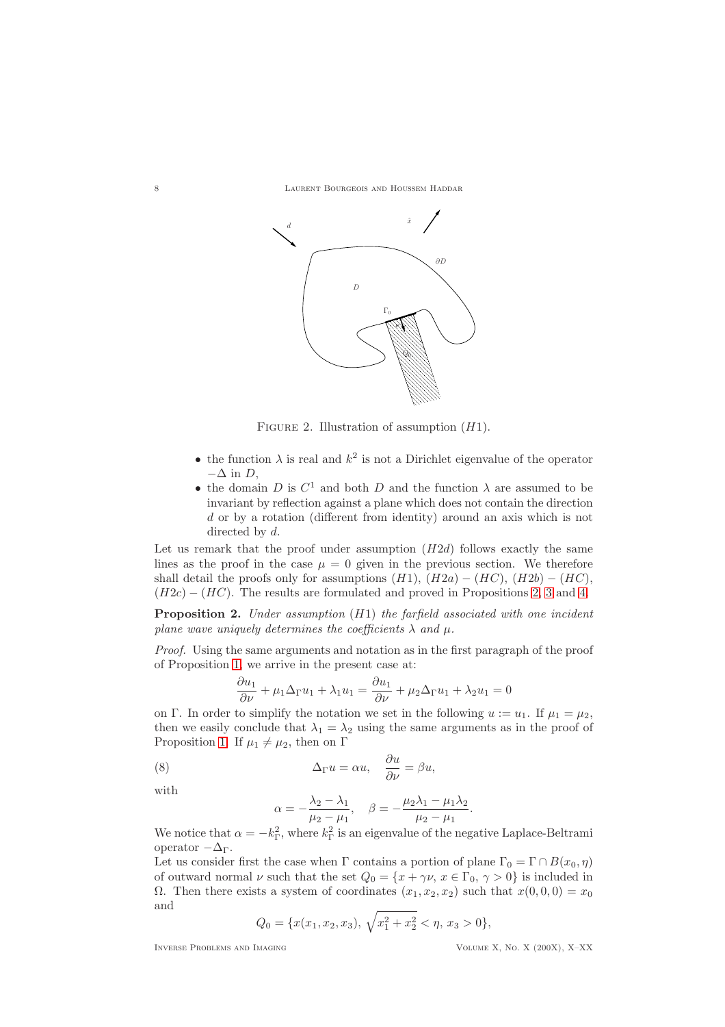

FIGURE 2. Illustration of assumption  $(H1)$ .

- the function  $\lambda$  is real and  $k^2$  is not a Dirichlet eigenvalue of the operator  $-\Delta$  in D.
- the domain  $D$  is  $C^1$  and both  $D$  and the function  $\lambda$  are assumed to be invariant by reflection against a plane which does not contain the direction d or by a rotation (different from identity) around an axis which is not directed by d.

Let us remark that the proof under assumption  $(H2d)$  follows exactly the same lines as the proof in the case  $\mu = 0$  given in the previous section. We therefore shall detail the proofs only for assumptions  $(H1)$ ,  $(H2a) - (HC)$ ,  $(H2b) - (HC)$ ,  $(H2c) - (HC)$ . The results are formulated and proved in Propositions [2,](#page-7-0) [3](#page-9-0) and [4.](#page-11-0)

<span id="page-7-0"></span>Proposition 2. *Under assumption* (H1) *the farfield associated with one incident plane wave uniquely determines the coefficients*  $\lambda$  *and*  $\mu$ .

*Proof.* Using the same arguments and notation as in the first paragraph of the proof of Proposition [1,](#page-4-1) we arrive in the present case at:

$$
\frac{\partial u_1}{\partial \nu} + \mu_1 \Delta_{\Gamma} u_1 + \lambda_1 u_1 = \frac{\partial u_1}{\partial \nu} + \mu_2 \Delta_{\Gamma} u_1 + \lambda_2 u_1 = 0
$$

on Γ. In order to simplify the notation we set in the following  $u := u_1$ . If  $\mu_1 = \mu_2$ , then we easily conclude that  $\lambda_1 = \lambda_2$  using the same arguments as in the proof of Proposition [1.](#page-4-1) If  $\mu_1 \neq \mu_2$ , then on Γ

(8) 
$$
\Delta_{\Gamma} u = \alpha u, \quad \frac{\partial u}{\partial \nu} = \beta u,
$$

with

<span id="page-7-1"></span>
$$
\alpha = -\frac{\lambda_2 - \lambda_1}{\mu_2 - \mu_1}, \quad \beta = -\frac{\mu_2 \lambda_1 - \mu_1 \lambda_2}{\mu_2 - \mu_1}.
$$

We notice that  $\alpha = -k_{\Gamma}^2$ , where  $k_{\Gamma}^2$  is an eigenvalue of the negative Laplace-Beltrami operator  $-\Delta_\Gamma$ .

Let us consider first the case when  $\Gamma$  contains a portion of plane  $\Gamma_0 = \Gamma \cap B(x_0, \eta)$ of outward normal  $\nu$  such that the set  $Q_0 = \{x + \gamma \nu, x \in \Gamma_0, \gamma > 0\}$  is included in Ω. Then there exists a system of coordinates  $(x_1, x_2, x_2)$  such that  $x(0, 0, 0) = x_0$ and

$$
Q_0 = \{x(x_1, x_2, x_3), \sqrt{x_1^2 + x_2^2} < \eta, x_3 > 0\},\
$$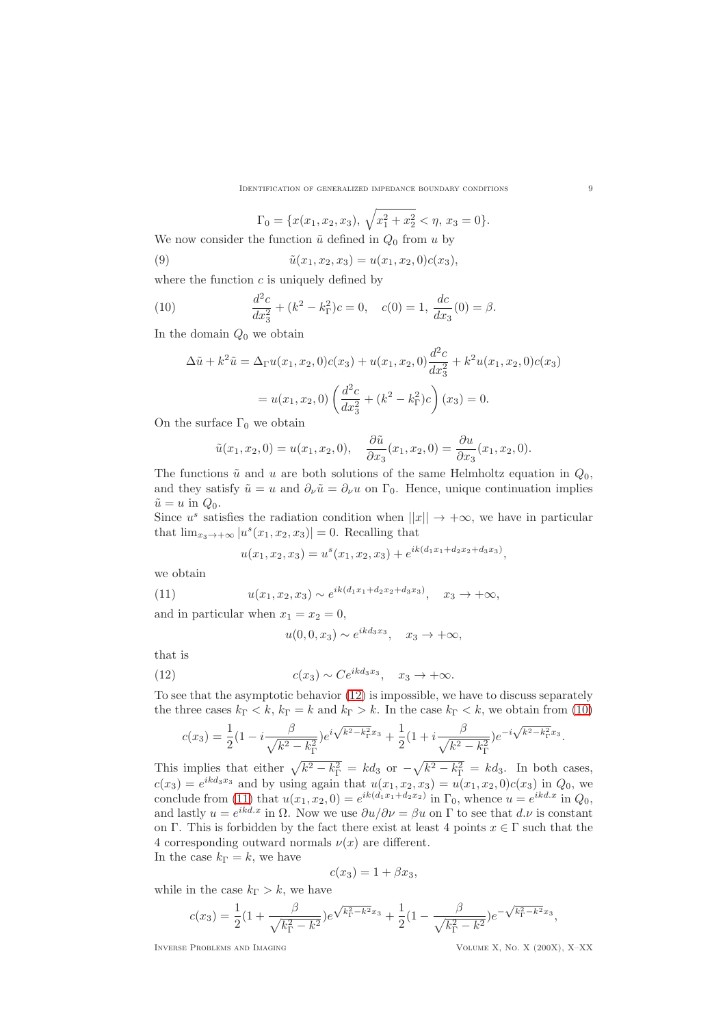$$
\Gamma_0 = \{x(x_1, x_2, x_3), \sqrt{x_1^2 + x_2^2} < \eta, x_3 = 0\}.
$$

We now consider the function  $\tilde{u}$  defined in  $Q_0$  from u by

(9) 
$$
\tilde{u}(x_1, x_2, x_3) = u(x_1, x_2, 0)c(x_3),
$$

where the function  $c$  is uniquely defined by

(10) 
$$
\frac{d^2c}{dx_3^2} + (k^2 - k_\Gamma^2)c = 0, \quad c(0) = 1, \frac{dc}{dx_3}(0) = \beta.
$$

In the domain  $Q_0$  we obtain

<span id="page-8-1"></span>
$$
\Delta \tilde{u} + k^2 \tilde{u} = \Delta_{\Gamma} u(x_1, x_2, 0) c(x_3) + u(x_1, x_2, 0) \frac{d^2 c}{dx_3^2} + k^2 u(x_1, x_2, 0) c(x_3)
$$

$$
= u(x_1, x_2, 0) \left( \frac{d^2 c}{dx_3^2} + (k^2 - k_{\Gamma}^2) c \right)(x_3) = 0.
$$

On the surface  $\Gamma_0$  we obtain

$$
\tilde{u}(x_1, x_2, 0) = u(x_1, x_2, 0), \quad \frac{\partial \tilde{u}}{\partial x_3}(x_1, x_2, 0) = \frac{\partial u}{\partial x_3}(x_1, x_2, 0).
$$

The functions  $\tilde{u}$  and u are both solutions of the same Helmholtz equation in  $Q_0$ , and they satisfy  $\tilde{u} = u$  and  $\partial_{\nu} \tilde{u} = \partial_{\nu} u$  on  $\Gamma_0$ . Hence, unique continuation implies  $\tilde{u} = u$  in  $Q_0$ .

Since  $u^s$  satisfies the radiation condition when  $||x|| \rightarrow +\infty$ , we have in particular that  $\lim_{x_3 \to +\infty} |u^s(x_1, x_2, x_3)| = 0$ . Recalling that

<span id="page-8-2"></span>
$$
u(x_1, x_2, x_3) = u^s(x_1, x_2, x_3) + e^{ik(d_1x_1 + d_2x_2 + d_3x_3)},
$$

we obtain

(11) 
$$
u(x_1, x_2, x_3) \sim e^{ik(d_1x_1 + d_2x_2 + d_3x_3)}, \quad x_3 \to +\infty,
$$

and in particular when  $x_1 = x_2 = 0$ ,

<span id="page-8-0"></span>
$$
u(0,0,x_3) \sim e^{ikd_3x_3}, \quad x_3 \to +\infty,
$$

that is

(12) 
$$
c(x_3) \sim Ce^{ikd_3x_3}, \quad x_3 \to +\infty.
$$

To see that the asymptotic behavior [\(12\)](#page-8-0) is impossible, we have to discuss separately the three cases  $k_{\Gamma} < k$ ,  $k_{\Gamma} = k$  and  $k_{\Gamma} > k$ . In the case  $k_{\Gamma} < k$ , we obtain from [\(10\)](#page-8-1)

$$
c(x_3) = \frac{1}{2} \left( 1 - i \frac{\beta}{\sqrt{k^2 - k_\Gamma^2}} \right) e^{i \sqrt{k^2 - k_\Gamma^2} x_3} + \frac{1}{2} \left( 1 + i \frac{\beta}{\sqrt{k^2 - k_\Gamma^2}} \right) e^{-i \sqrt{k^2 - k_\Gamma^2} x_3}.
$$

This implies that either  $\sqrt{k^2 - k_{\Gamma}^2} = kd_3$  or  $-\sqrt{k^2 - k_{\Gamma}^2} = kd_3$ . In both cases,  $c(x_3) = e^{ikd_3x_3}$  and by using again that  $u(x_1, x_2, x_3) = u(x_1, x_2, 0)c(x_3)$  in  $Q_0$ , we conclude from [\(11\)](#page-8-2) that  $u(x_1, x_2, 0) = e^{ik(d_1x_1 + d_2x_2)}$  in  $\Gamma_0$ , whence  $u = e^{ikd.x}$  in  $Q_0$ , and lastly  $u = e^{ikd.x}$  in  $\Omega$ . Now we use  $\partial u/\partial \nu = \beta u$  on  $\Gamma$  to see that  $d.\nu$  is constant on Γ. This is forbidden by the fact there exist at least 4 points  $x \in \Gamma$  such that the 4 corresponding outward normals  $\nu(x)$  are different. In the case  $k_{\Gamma} = k$ , we have

$$
c(x_3) = 1 + \beta x_3,
$$

while in the case  $k_{\Gamma} > k$ , we have

$$
c(x_3) = \frac{1}{2}(1 + \frac{\beta}{\sqrt{k_{\Gamma}^2 - k^2}})e^{\sqrt{k_{\Gamma}^2 - k^2}x_3} + \frac{1}{2}(1 - \frac{\beta}{\sqrt{k_{\Gamma}^2 - k^2}})e^{-\sqrt{k_{\Gamma}^2 - k^2}x_3},
$$

Inverse Problems and Imaging Volume X, No. X (200X), X–XX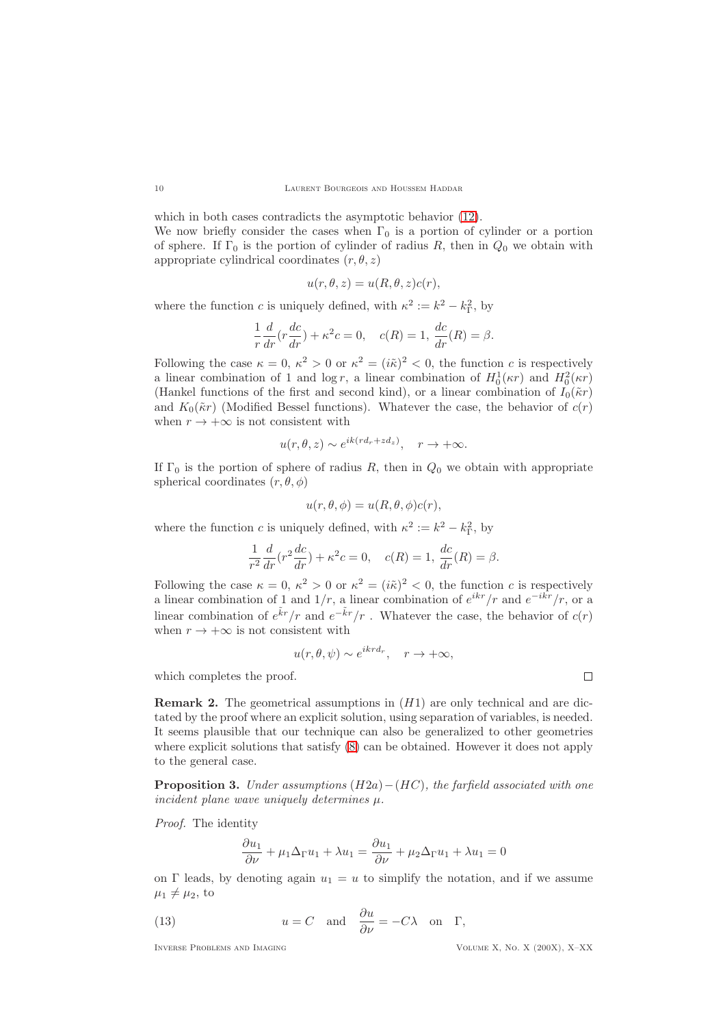which in both cases contradicts the asymptotic behavior [\(12\)](#page-8-0). We now briefly consider the cases when  $\Gamma_0$  is a portion of cylinder or a portion of sphere. If  $\Gamma_0$  is the portion of cylinder of radius R, then in  $Q_0$  we obtain with appropriate cylindrical coordinates  $(r, \theta, z)$ 

$$
u(r, \theta, z) = u(R, \theta, z)c(r),
$$

where the function c is uniquely defined, with  $\kappa^2 := k^2 - k_{\Gamma}^2$ , by

$$
\frac{1}{r}\frac{d}{dr}\left(r\frac{dc}{dr}\right) + \kappa^2 c = 0, \quad c(R) = 1, \frac{dc}{dr}(R) = \beta.
$$

Following the case  $\kappa = 0$ ,  $\kappa^2 > 0$  or  $\kappa^2 = (i\tilde{\kappa})^2 < 0$ , the function c is respectively a linear combination of 1 and  $\log r$ , a linear combination of  $H_0^1(\kappa r)$  and  $H_0^2(\kappa r)$ (Hankel functions of the first and second kind), or a linear combination of  $I_0(\tilde{\kappa}r)$ and  $K_0(\tilde{\kappa}r)$  (Modified Bessel functions). Whatever the case, the behavior of  $c(r)$ when  $r \to +\infty$  is not consistent with

$$
u(r, \theta, z) \sim e^{ik(rd_r + zd_z)}, \quad r \to +\infty.
$$

If  $\Gamma_0$  is the portion of sphere of radius R, then in  $Q_0$  we obtain with appropriate spherical coordinates  $(r, \theta, \phi)$ 

$$
u(r, \theta, \phi) = u(R, \theta, \phi)c(r),
$$

where the function c is uniquely defined, with  $\kappa^2 := k^2 - k_{\Gamma}^2$ , by

$$
\frac{1}{r^2}\frac{d}{dr}(r^2\frac{dc}{dr}) + \kappa^2 c = 0, \quad c(R) = 1, \frac{dc}{dr}(R) = \beta.
$$

Following the case  $\kappa = 0$ ,  $\kappa^2 > 0$  or  $\kappa^2 = (i\tilde{\kappa})^2 < 0$ , the function c is respectively a linear combination of 1 and  $1/r$ , a linear combination of  $e^{ikr}/r$  and  $e^{-ikr}/r$ , or a linear combination of  $e^{\tilde{k}r}/r$  and  $e^{-\tilde{k}r}/r$ . Whatever the case, the behavior of  $c(r)$ when  $r \to +\infty$  is not consistent with

$$
u(r, \theta, \psi) \sim e^{ikr d_r}, \quad r \to +\infty,
$$

which completes the proof.

**Remark 2.** The geometrical assumptions in  $(H1)$  are only technical and are dictated by the proof where an explicit solution, using separation of variables, is needed. It seems plausible that our technique can also be generalized to other geometries where explicit solutions that satisfy  $(8)$  can be obtained. However it does not apply to the general case.

<span id="page-9-0"></span>Proposition 3. *Under assumptions* (H2a)−(HC)*, the farfield associated with one incident plane wave uniquely determines* µ*.*

*Proof.* The identity

<span id="page-9-1"></span>
$$
\frac{\partial u_1}{\partial \nu} + \mu_1 \Delta_{\Gamma} u_1 + \lambda u_1 = \frac{\partial u_1}{\partial \nu} + \mu_2 \Delta_{\Gamma} u_1 + \lambda u_1 = 0
$$

on Γ leads, by denoting again  $u_1 = u$  to simplify the notation, and if we assume  $\mu_1 \neq \mu_2$ , to

(13) 
$$
u = C
$$
 and  $\frac{\partial u}{\partial \nu} = -C\lambda$  on  $\Gamma$ ,

Inverse Problems and Imaging Volume X, No. X (200X), X–XX

 $\Box$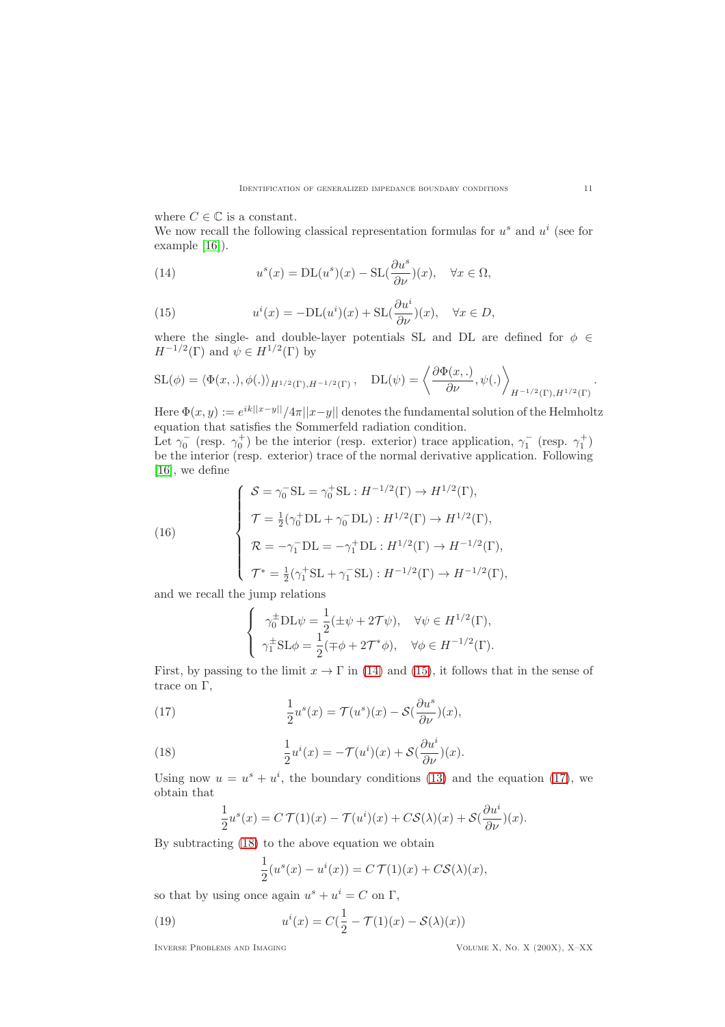where  $C \in \mathbb{C}$  is a constant.

We now recall the following classical representation formulas for  $u^s$  and  $u^i$  (see for example [\[16\]](#page-19-12)).

<span id="page-10-1"></span>(14) 
$$
u^{s}(x) = DL(u^{s})(x) - SL(\frac{\partial u^{s}}{\partial \nu})(x), \quad \forall x \in \Omega,
$$

<span id="page-10-2"></span>(15) 
$$
u^{i}(x) = -DL(u^{i})(x) + SL(\frac{\partial u^{i}}{\partial \nu})(x), \quad \forall x \in D,
$$

where the single- and double-layer potentials SL and DL are defined for  $\phi \in$  $H^{-1/2}(\Gamma)$  and  $\psi \in H^{1/2}(\Gamma)$  by

$$
SL(\phi) = \langle \Phi(x,.), \phi(.) \rangle_{H^{1/2}(\Gamma), H^{-1/2}(\Gamma)}, \quad DL(\psi) = \left\langle \frac{\partial \Phi(x,.)}{\partial \nu}, \psi(.) \right\rangle_{H^{-1/2}(\Gamma), H^{1/2}(\Gamma)}.
$$

Here  $\Phi(x, y) := e^{ik||x-y||}/4\pi||x-y||$  denotes the fundamental solution of the Helmholtz equation that satisfies the Sommerfeld radiation condition.

Let  $\gamma_0^-$  (resp.  $\gamma_0^+$ ) be the interior (resp. exterior) trace application,  $\gamma_1^-$  (resp.  $\gamma_1^+$ ) be the interior (resp. exterior) trace of the normal derivative application. Following [\[16\]](#page-19-12), we define

(16)  
\n
$$
\begin{cases}\n\mathcal{S} = \gamma_0^- \text{SL} = \gamma_0^+ \text{SL} : H^{-1/2}(\Gamma) \to H^{1/2}(\Gamma), \\
\mathcal{T} = \frac{1}{2} (\gamma_0^+ \text{DL} + \gamma_0^- \text{DL}) : H^{1/2}(\Gamma) \to H^{1/2}(\Gamma), \\
\mathcal{R} = -\gamma_1^- \text{DL} = -\gamma_1^+ \text{DL} : H^{1/2}(\Gamma) \to H^{-1/2}(\Gamma), \\
\mathcal{T}^* = \frac{1}{2} (\gamma_1^+ \text{SL} + \gamma_1^- \text{SL}) : H^{-1/2}(\Gamma) \to H^{-1/2}(\Gamma),\n\end{cases}
$$

and we recall the jump relations

<span id="page-10-3"></span><span id="page-10-0"></span>
$$
\begin{cases}\n\gamma_0^{\pm} \text{DL}\psi = \frac{1}{2} (\pm \psi + 2\mathcal{T}\psi), & \forall \psi \in H^{1/2}(\Gamma), \\
\gamma_1^{\pm} \text{SL}\phi = \frac{1}{2} (\mp \phi + 2\mathcal{T}^*\phi), & \forall \phi \in H^{-1/2}(\Gamma).\n\end{cases}
$$

First, by passing to the limit  $x \to \Gamma$  in [\(14\)](#page-10-1) and [\(15\)](#page-10-2), it follows that in the sense of trace on Γ,

(17) 
$$
\frac{1}{2}u^s(x) = \mathcal{T}(u^s)(x) - \mathcal{S}(\frac{\partial u^s}{\partial \nu})(x),
$$

(18) 
$$
\frac{1}{2}u^{i}(x) = -\mathcal{T}(u^{i})(x) + \mathcal{S}(\frac{\partial u^{i}}{\partial \nu})(x).
$$

Using now  $u = u^s + u^i$ , the boundary conditions [\(13\)](#page-9-1) and the equation [\(17\)](#page-10-3), we obtain that

<span id="page-10-4"></span>
$$
\frac{1}{2}u^{s}(x) = C \mathcal{T}(1)(x) - \mathcal{T}(u^{i})(x) + C \mathcal{S}(\lambda)(x) + \mathcal{S}(\frac{\partial u^{i}}{\partial \nu})(x).
$$

By subtracting [\(18\)](#page-10-4) to the above equation we obtain

<span id="page-10-5"></span>
$$
\frac{1}{2}(u^s(x) - u^i(x)) = C \mathcal{T}(1)(x) + C\mathcal{S}(\lambda)(x),
$$

so that by using once again  $u^s + u^i = C$  on  $\Gamma$ ,

(19) 
$$
u^{i}(x) = C\left(\frac{1}{2} - \mathcal{T}(1)(x) - \mathcal{S}(\lambda)(x)\right)
$$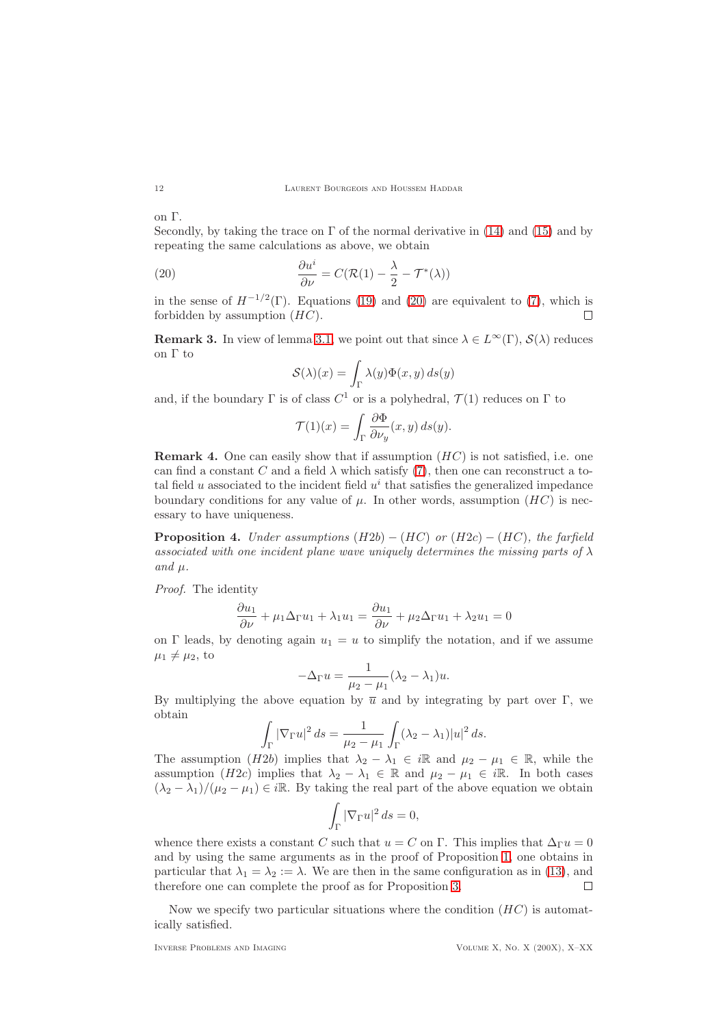### 12 LAURENT BOURGEOIS AND HOUSSEM HADDAR

on Γ.

Secondly, by taking the trace on  $\Gamma$  of the normal derivative in [\(14\)](#page-10-1) and [\(15\)](#page-10-2) and by repeating the same calculations as above, we obtain

(20) 
$$
\frac{\partial u^i}{\partial \nu} = C(\mathcal{R}(1) - \frac{\lambda}{2} - \mathcal{T}^*(\lambda))
$$

in the sense of  $H^{-1/2}(\Gamma)$ . Equations [\(19\)](#page-10-5) and [\(20\)](#page-11-1) are equivalent to [\(7\)](#page-6-0), which is forbidden by assumption  $(HC)$ .  $\Box$ 

**Remark 3.** In view of lemma [3.1,](#page-12-0) we point out that since  $\lambda \in L^{\infty}(\Gamma)$ ,  $\mathcal{S}(\lambda)$  reduces on Γ to

<span id="page-11-1"></span>
$$
\mathcal{S}(\lambda)(x) = \int_{\Gamma} \lambda(y) \Phi(x, y) ds(y)
$$

and, if the boundary  $\Gamma$  is of class  $C^1$  or is a polyhedral,  $\mathcal{T}(1)$  reduces on  $\Gamma$  to

$$
\mathcal{T}(1)(x) = \int_{\Gamma} \frac{\partial \Phi}{\partial \nu_y}(x, y) \, ds(y).
$$

**Remark 4.** One can easily show that if assumption  $(HC)$  is not satisfied, i.e. one can find a constant C and a field  $\lambda$  which satisfy [\(7\)](#page-6-0), then one can reconstruct a total field  $u$  associated to the incident field  $u^i$  that satisfies the generalized impedance boundary conditions for any value of  $\mu$ . In other words, assumption  $(HC)$  is necessary to have uniqueness.

<span id="page-11-0"></span>Proposition 4. *Under assumptions* (H2b) − (HC) *or* (H2c) − (HC)*, the farfield associated with one incident plane wave uniquely determines the missing parts of*  $\lambda$  $and \mu.$ 

*Proof.* The identity

$$
\frac{\partial u_1}{\partial \nu} + \mu_1 \Delta_{\Gamma} u_1 + \lambda_1 u_1 = \frac{\partial u_1}{\partial \nu} + \mu_2 \Delta_{\Gamma} u_1 + \lambda_2 u_1 = 0
$$

on Γ leads, by denoting again  $u_1 = u$  to simplify the notation, and if we assume  $\mu_1 \neq \mu_2$ , to

$$
-\Delta_{\Gamma} u = \frac{1}{\mu_2 - \mu_1} (\lambda_2 - \lambda_1) u.
$$

By multiplying the above equation by  $\bar{u}$  and by integrating by part over Γ, we obtain

$$
\int_{\Gamma} |\nabla_{\Gamma} u|^2 ds = \frac{1}{\mu_2 - \mu_1} \int_{\Gamma} (\lambda_2 - \lambda_1) |u|^2 ds.
$$

The assumption (H2b) implies that  $\lambda_2 - \lambda_1 \in i\mathbb{R}$  and  $\mu_2 - \mu_1 \in \mathbb{R}$ , while the assumption (H2c) implies that  $\lambda_2 - \lambda_1 \in \mathbb{R}$  and  $\mu_2 - \mu_1 \in i\mathbb{R}$ . In both cases  $(\lambda_2 - \lambda_1)/(\mu_2 - \mu_1) \in i\mathbb{R}$ . By taking the real part of the above equation we obtain

$$
\int_{\Gamma} |\nabla_{\Gamma} u|^2 ds = 0,
$$

whence there exists a constant C such that  $u = C$  on Γ. This implies that  $\Delta_{\Gamma} u = 0$ and by using the same arguments as in the proof of Proposition [1,](#page-4-1) one obtains in particular that  $\lambda_1 = \lambda_2 := \lambda$ . We are then in the same configuration as in [\(13\)](#page-9-1), and therefore one can complete the proof as for Proposition [3.](#page-9-0)  $\Box$ 

Now we specify two particular situations where the condition  $(HC)$  is automatically satisfied.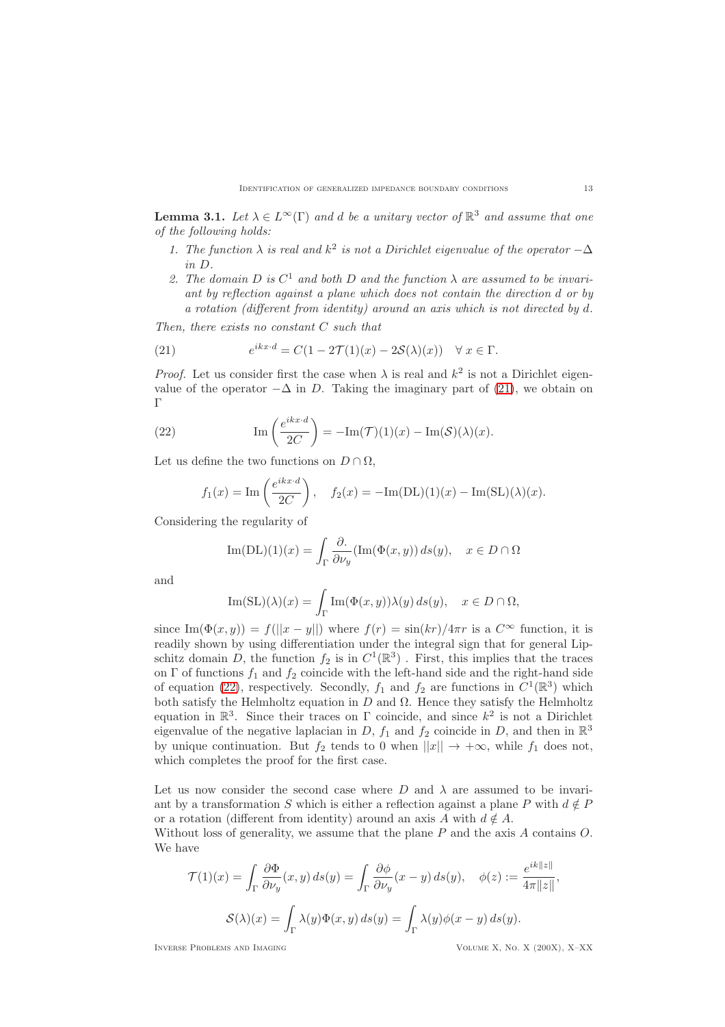<span id="page-12-0"></span>**Lemma 3.1.** *Let*  $\lambda \in L^{\infty}(\Gamma)$  *and d be a unitary vector of*  $\mathbb{R}^3$  *and assume that one of the following holds:*

- 1. The function  $\lambda$  *is real and*  $k^2$  *is not a Dirichlet eigenvalue of the operator*  $-\Delta$ *in* D*.*
- 2. The domain  $D$  is  $C^1$  and both  $D$  and the function  $\lambda$  are assumed to be invari*ant by reflection against a plane which does not contain the direction* d *or by a rotation (different from identity) around an axis which is not directed by* d*.*

*Then, there exists no constant* C *such that*

<span id="page-12-1"></span>(21) 
$$
e^{ikx \cdot d} = C(1 - 2\mathcal{T}(1)(x) - 2\mathcal{S}(\lambda)(x)) \quad \forall x \in \Gamma.
$$

*Proof.* Let us consider first the case when  $\lambda$  is real and  $k^2$  is not a Dirichlet eigenvalue of the operator  $-\Delta$  in D. Taking the imaginary part of [\(21\)](#page-12-1), we obtain on Γ

(22) 
$$
\operatorname{Im}\left(\frac{e^{ikx \cdot d}}{2C}\right) = -\operatorname{Im}(\mathcal{T})(1)(x) - \operatorname{Im}(\mathcal{S})(\lambda)(x).
$$

Let us define the two functions on  $D \cap \Omega$ ,

<span id="page-12-2"></span>
$$
f_1(x) = \text{Im}\left(\frac{e^{ikx \cdot d}}{2C}\right), \quad f_2(x) = -\text{Im}(DL)(1)(x) - \text{Im}(SL)(\lambda)(x).
$$

Considering the regularity of

Im(DL)(1)(x) = 
$$
\int_{\Gamma} \frac{\partial}{\partial \nu_y} (\text{Im}(\Phi(x, y)) ds(y), \quad x \in D \cap \Omega
$$

and

$$
\mathrm{Im}(\mathrm{SL})(\lambda)(x)=\int_\Gamma \mathrm{Im}(\Phi(x,y))\lambda(y)\,ds(y),\quad x\in D\cap\Omega,
$$

since  $\text{Im}(\Phi(x, y)) = f(||x - y||)$  where  $f(r) = \sin(kr)/4\pi r$  is a  $C^{\infty}$  function, it is readily shown by using differentiation under the integral sign that for general Lipschitz domain D, the function  $f_2$  is in  $C^1(\mathbb{R}^3)$ . First, this implies that the traces on  $\Gamma$  of functions  $f_1$  and  $f_2$  coincide with the left-hand side and the right-hand side of equation [\(22\)](#page-12-2), respectively. Secondly,  $f_1$  and  $f_2$  are functions in  $C^1(\mathbb{R}^3)$  which both satisfy the Helmholtz equation in  $D$  and  $\Omega$ . Hence they satisfy the Helmholtz equation in  $\mathbb{R}^3$ . Since their traces on  $\Gamma$  coincide, and since  $k^2$  is not a Dirichlet eigenvalue of the negative laplacian in D,  $f_1$  and  $f_2$  coincide in D, and then in  $\mathbb{R}^3$ by unique continuation. But  $f_2$  tends to 0 when  $||x|| \rightarrow +\infty$ , while  $f_1$  does not, which completes the proof for the first case.

Let us now consider the second case where D and  $\lambda$  are assumed to be invariant by a transformation S which is either a reflection against a plane P with  $d \notin P$ or a rotation (different from identity) around an axis A with  $d \notin A$ .

Without loss of generality, we assume that the plane  $P$  and the axis  $A$  contains  $O$ . We have

$$
\mathcal{T}(1)(x) = \int_{\Gamma} \frac{\partial \Phi}{\partial \nu_y}(x, y) ds(y) = \int_{\Gamma} \frac{\partial \phi}{\partial \nu_y}(x - y) ds(y), \quad \phi(z) := \frac{e^{ik||z||}}{4\pi ||z||},
$$

$$
\mathcal{S}(\lambda)(x) = \int_{\Gamma} \lambda(y) \Phi(x, y) ds(y) = \int_{\Gamma} \lambda(y) \phi(x - y) ds(y).
$$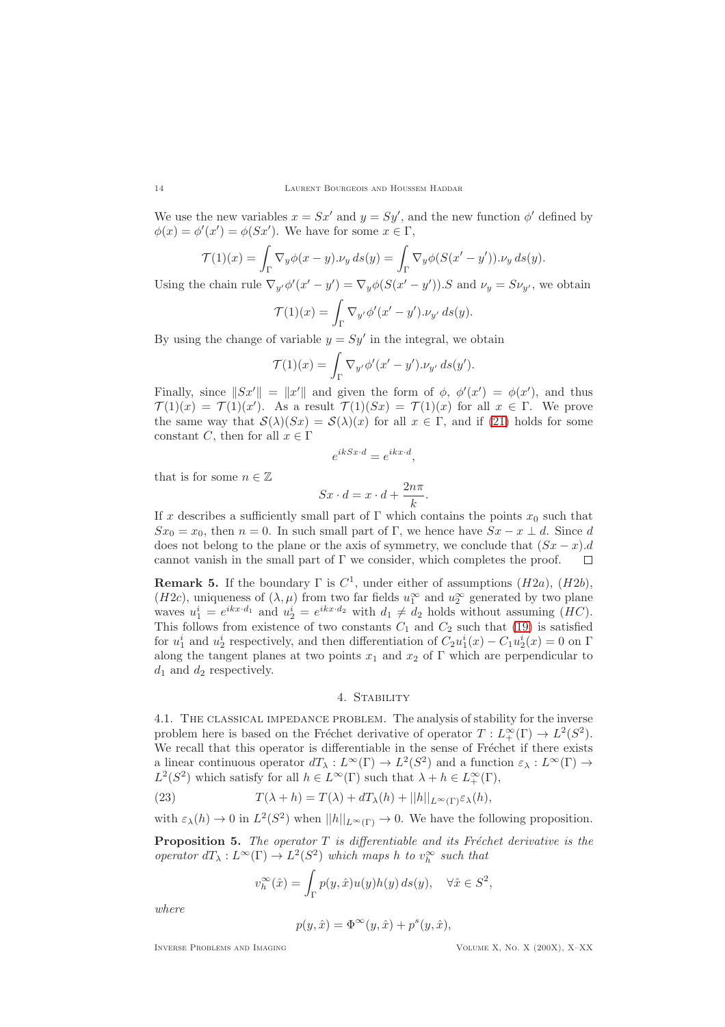We use the new variables  $x = Sx'$  and  $y = Sy'$ , and the new function  $\phi'$  defined by  $\phi(x) = \phi'(x') = \phi(Sx')$ . We have for some  $x \in \Gamma$ ,

$$
\mathcal{T}(1)(x) = \int_{\Gamma} \nabla_y \phi(x - y) \cdot \nu_y \, ds(y) = \int_{\Gamma} \nabla_y \phi(S(x' - y')) \cdot \nu_y \, ds(y).
$$

Using the chain rule  $\nabla_{y'}\phi'(x'-y') = \nabla_y\phi(S(x'-y'))$ . S and  $\nu_y = S\nu_{y'}$ , we obtain

$$
\mathcal{T}(1)(x) = \int_{\Gamma} \nabla_{y'} \phi'(x' - y') \cdot \nu_{y'} ds(y).
$$

By using the change of variable  $y = Sy'$  in the integral, we obtain

$$
\mathcal{T}(1)(x) = \int_{\Gamma} \nabla_{y'} \phi'(x'-y').\nu_{y'} ds(y').
$$

Finally, since  $||Sx'|| = ||x'||$  and given the form of  $\phi$ ,  $\phi'(x') = \phi(x')$ , and thus  $\mathcal{T}(1)(x) = \mathcal{T}(1)(x')$ . As a result  $\mathcal{T}(1)(Sx) = \mathcal{T}(1)(x)$  for all  $x \in \Gamma$ . We prove the same way that  $S(\lambda)(Sx) = S(\lambda)(x)$  for all  $x \in \Gamma$ , and if [\(21\)](#page-12-1) holds for some constant C, then for all  $x \in \Gamma$ 

$$
e^{ikSx \cdot d} = e^{ikx \cdot d},
$$

that is for some  $n \in \mathbb{Z}$ 

$$
Sx \cdot d = x \cdot d + \frac{2n\pi}{k}.
$$

If x describes a sufficiently small part of Γ which contains the points  $x_0$  such that  $Sx_0 = x_0$ , then  $n = 0$ . In such small part of Γ, we hence have  $Sx - x \perp d$ . Since d does not belong to the plane or the axis of symmetry, we conclude that  $(Sx - x)$ .d cannot vanish in the small part of  $\Gamma$  we consider which completes the proof cannot vanish in the small part of  $\Gamma$  we consider, which completes the proof.

**Remark 5.** If the boundary  $\Gamma$  is  $C^1$ , under either of assumptions  $(H2a)$ ,  $(H2b)$ , (H2c), uniqueness of  $(\lambda, \mu)$  from two far fields  $u_1^{\infty}$  and  $u_2^{\infty}$  generated by two plane waves  $u_1^i = e^{ikx \cdot d_1}$  and  $u_2^i = e^{ikx \cdot d_2}$  with  $d_1 \neq d_2$  holds without assuming  $(HC)$ . This follows from existence of two constants  $C_1$  and  $C_2$  such that [\(19\)](#page-10-5) is satisfied for  $u_1^i$  and  $u_2^i$  respectively, and then differentiation of  $C_2u_1^i(x) - C_1u_2^i(x) = 0$  on  $\Gamma$ along the tangent planes at two points  $x_1$  and  $x_2$  of Γ which are perpendicular to  $d_1$  and  $d_2$  respectively.

### 4. Stability

4.1. The classical impedance problem. The analysis of stability for the inverse problem here is based on the Fréchet derivative of operator  $T : L^{\infty}_+(\Gamma) \to L^2(S^2)$ . We recall that this operator is differentiable in the sense of Fréchet if there exists a linear continuous operator  $dT_{\lambda}: L^{\infty}(\Gamma) \to L^{2}(S^{2})$  and a function  $\varepsilon_{\lambda}: L^{\infty}(\Gamma) \to$  $L^2(S^2)$  which satisfy for all  $h \in L^{\infty}(\Gamma)$  such that  $\lambda + h \in L^{\infty}_+(\Gamma)$ ,

(23) 
$$
T(\lambda + h) = T(\lambda) + dT_{\lambda}(h) + ||h||_{L^{\infty}(\Gamma)^{\mathcal{E}_{\lambda}}}(h),
$$

with  $\varepsilon_{\lambda}(h) \to 0$  in  $L^2(S^2)$  when  $||h||_{L^{\infty}(\Gamma)} \to 0$ . We have the following proposition.

<span id="page-13-1"></span>Proposition 5. The operator T is differentiable and its Fréchet derivative is the *operator*  $dT_{\lambda}: L^{\infty}(\Gamma) \to L^{2}(S^{2})$  *which maps h to*  $v_{h}^{\infty}$  *such that* 

<span id="page-13-0"></span>
$$
v_h^{\infty}(\hat{x}) = \int_{\Gamma} p(y, \hat{x}) u(y) h(y) ds(y), \quad \forall \hat{x} \in S^2,
$$

*where*

$$
p(y, \hat{x}) = \Phi^{\infty}(y, \hat{x}) + p^{s}(y, \hat{x}),
$$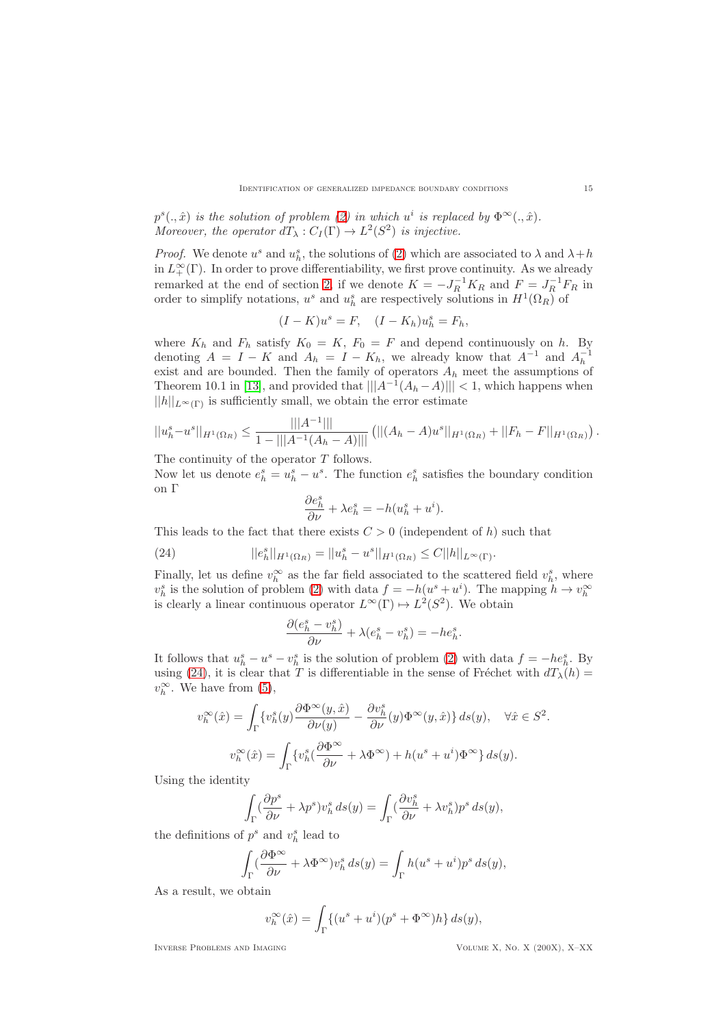$p^{s}(.,\hat{x})$  *is the solution of problem* [\(2\)](#page-2-0) *in which*  $u^{i}$  *is replaced by*  $\Phi^{\infty}(.,\hat{x})$ *.* Moreover, the operator  $dT_{\lambda}: C_I(\Gamma) \to L^2(S^2)$  *is injective.* 

*Proof.* We denote  $u^s$  and  $u^s_h$ , the solutions of [\(2\)](#page-2-0) which are associated to  $\lambda$  and  $\lambda + h$ in  $L^{\infty}_+(\Gamma)$ . In order to prove differentiability, we first prove continuity. As we already remarked at the end of section [2,](#page-2-1) if we denote  $K = -J_R^{-1}K_R$  and  $F = J_R^{-1}F_R$  in order to simplify notations,  $u^s$  and  $u^s_h$  are respectively solutions in  $H^1(\Omega_R)$  of

$$
(I - K)us = F, \quad (I - K_h)uhs = Fh,
$$

where  $K_h$  and  $F_h$  satisfy  $K_0 = K$ ,  $F_0 = F$  and depend continuously on h. By denoting  $A = I - K$  and  $A_h = I - K_h$ , we already know that  $A^{-1}$  and  $A_h^{-1}$ exist and are bounded. Then the family of operators  $A_h$  meet the assumptions of Theorem 10.1 in [\[13\]](#page-19-13), and provided that  $|||A^{-1}(A_h - A)||| < 1$ , which happens when  $||h||_{L^{\infty}(\Gamma)}$  is sufficiently small, we obtain the error estimate

$$
||u_h^s - u^s||_{H^1(\Omega_R)} \le \frac{|||A^{-1}|||}{1 - |||A^{-1}(A_h - A)|||} (||(A_h - A)u^s||_{H^1(\Omega_R)} + ||F_h - F||_{H^1(\Omega_R)}).
$$

The continuity of the operator  $T$  follows.

Now let us denote  $e_h^s = u_h^s - u^s$ . The function  $e_h^s$  satisfies the boundary condition on Γ

<span id="page-14-0"></span>
$$
\frac{\partial e_h^s}{\partial \nu} + \lambda e_h^s = -h(u_h^s + u^i).
$$

This leads to the fact that there exists  $C > 0$  (independent of h) such that

(24) 
$$
||e_h^s||_{H^1(\Omega_R)} = ||u_h^s - u^s||_{H^1(\Omega_R)} \leq C||h||_{L^{\infty}(\Gamma)}.
$$

Finally, let us define  $v_h^{\infty}$  as the far field associated to the scattered field  $v_h^s$ , where  $v_h^s$  is the solution of problem [\(2\)](#page-2-0) with data  $f = -h(u^s + u^i)$ . The mapping  $h \to v_h^{\infty}$ is clearly a linear continuous operator  $L^{\infty}(\Gamma) \mapsto L^{2}(S^{2})$ . We obtain

$$
\frac{\partial (e_h^s - v_h^s)}{\partial \nu} + \lambda (e_h^s - v_h^s) = -he_h^s.
$$

It follows that  $u_h^s - u^s - v_h^s$  is the solution of problem [\(2\)](#page-2-0) with data  $f = -he_h^s$ . By using [\(24\)](#page-14-0), it is clear that T is differentiable in the sense of Fréchet with  $dT_{\lambda}(h) =$  $v_h^{\infty}$ . We have from [\(5\)](#page-4-0),

$$
v_h^{\infty}(\hat{x}) = \int_{\Gamma} \{v_h^s(y) \frac{\partial \Phi^{\infty}(y, \hat{x})}{\partial \nu(y)} - \frac{\partial v_h^s}{\partial \nu}(y) \Phi^{\infty}(y, \hat{x})\} ds(y), \quad \forall \hat{x} \in S^2.
$$

$$
v_h^{\infty}(\hat{x}) = \int_{\Gamma} \{v_h^s(\frac{\partial \Phi^{\infty}}{\partial \nu} + \lambda \Phi^{\infty}) + h(u^s + u^i) \Phi^{\infty}\} ds(y).
$$

Using the identity

$$
\int_{\Gamma} (\frac{\partial p^s}{\partial \nu} + \lambda p^s) v_h^s ds(y) = \int_{\Gamma} (\frac{\partial v_h^s}{\partial \nu} + \lambda v_h^s) p^s ds(y),
$$

the definitions of  $p^s$  and  $v^s_h$  lead to

$$
\int_{\Gamma} (\frac{\partial \Phi^{\infty}}{\partial \nu} + \lambda \Phi^{\infty}) v_h^s ds(y) = \int_{\Gamma} h(u^s + u^i) p^s ds(y),
$$

As a result, we obtain

$$
v_h^{\infty}(\hat{x}) = \int_{\Gamma} \{ (u^s + u^i)(p^s + \Phi^{\infty})h \} ds(y),
$$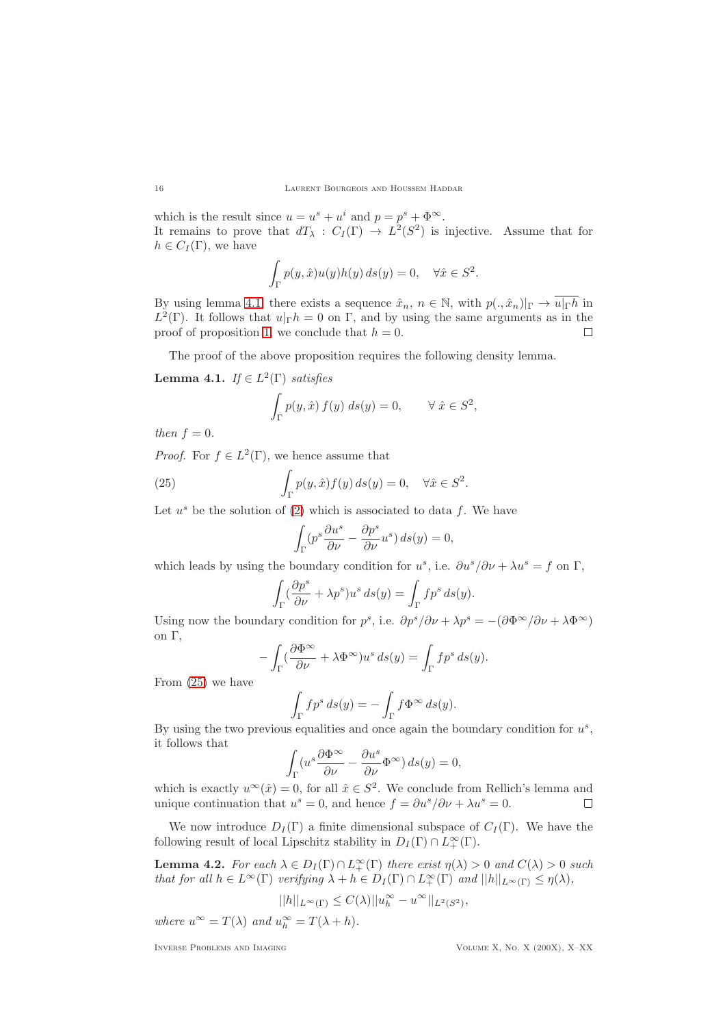which is the result since  $u = u^s + u^i$  and  $p = p^s + \Phi^\infty$ . It remains to prove that  $dT_{\lambda}: C_I(\Gamma) \to L^2(S^2)$  is injective. Assume that for  $h \in C_I(\Gamma)$ , we have

$$
\int_{\Gamma} p(y, \hat{x}) u(y) h(y) ds(y) = 0, \quad \forall \hat{x} \in S^2.
$$

By using lemma [4.1,](#page-15-0) there exists a sequence  $\hat{x}_n, n \in \mathbb{N}$ , with  $p(.,\hat{x}_n)|_{\Gamma} \to \overline{u|_{\Gamma}h}$  in  $L^2(\Gamma)$ . It follows that  $u|_{\Gamma}h = 0$  on  $\Gamma$ , and by using the same arguments as in the proof of proposition [1,](#page-4-1) we conclude that  $h = 0$ .

The proof of the above proposition requires the following density lemma.

<span id="page-15-0"></span>**Lemma 4.1.** *If*  $\in L^2(\Gamma)$  *satisfies* 

$$
\int_{\Gamma} p(y, \hat{x}) f(y) ds(y) = 0, \qquad \forall \ \hat{x} \in S^2,
$$

*then*  $f = 0$ *.* 

*Proof.* For  $f \in L^2(\Gamma)$ , we hence assume that

(25) 
$$
\int_{\Gamma} p(y, \hat{x}) f(y) ds(y) = 0, \quad \forall \hat{x} \in S^2.
$$

Let  $u^s$  be the solution of [\(2\)](#page-2-0) which is associated to data f. We have

<span id="page-15-1"></span>
$$
\int_{\Gamma} (p^s \frac{\partial u^s}{\partial \nu} - \frac{\partial p^s}{\partial \nu} u^s) ds(y) = 0,
$$

which leads by using the boundary condition for  $u^s$ , i.e.  $\partial u^s / \partial \nu + \lambda u^s = f$  on  $\Gamma$ ,

$$
\int_{\Gamma} (\frac{\partial p^s}{\partial \nu} + \lambda p^s) u^s ds(y) = \int_{\Gamma} f p^s ds(y).
$$

Using now the boundary condition for  $p^s$ , i.e.  $\partial p^s / \partial \nu + \lambda p^s = -(\partial \Phi^\infty / \partial \nu + \lambda \Phi^\infty)$ on Γ,

$$
-\int_{\Gamma} \left(\frac{\partial \Phi^{\infty}}{\partial \nu} + \lambda \Phi^{\infty}\right) u^s ds(y) = \int_{\Gamma} f p^s ds(y).
$$

From [\(25\)](#page-15-1) we have

$$
\int_{\Gamma} f p^s \, ds(y) = - \int_{\Gamma} f \Phi^{\infty} \, ds(y).
$$

By using the two previous equalities and once again the boundary condition for  $u^s$ , it follows that

$$
\int_{\Gamma} \left( u^s \frac{\partial \Phi^{\infty}}{\partial \nu} - \frac{\partial u^s}{\partial \nu} \Phi^{\infty} \right) ds(y) = 0,
$$

which is exactly  $u^{\infty}(\hat{x}) = 0$ , for all  $\hat{x} \in S^2$ . We conclude from Rellich's lemma and unique continuation that  $u^s = 0$ , and hence  $f = \partial u^s / \partial \nu + \lambda u^s = 0$ .  $\Box$ 

We now introduce  $D_I(\Gamma)$  a finite dimensional subspace of  $C_I(\Gamma)$ . We have the following result of local Lipschitz stability in  $D_I(\Gamma) \cap L_+^{\infty}(\Gamma)$ .

<span id="page-15-2"></span>**Lemma 4.2.** *For each*  $\lambda \in D_I(\Gamma) \cap L_+^{\infty}(\Gamma)$  *there exist*  $\eta(\lambda) > 0$  *and*  $C(\lambda) > 0$  *such that for all*  $h \in L^{\infty}(\Gamma)$  *verifying*  $\lambda + h \in D_I(\Gamma) \cap L^{\infty}_+(\Gamma)$  *and*  $||h||_{L^{\infty}(\Gamma)} \leq \eta(\lambda)$ *,* 

$$
||h||_{L^{\infty}(\Gamma)} \leq C(\lambda) ||u_h^{\infty} - u^{\infty}||_{L^2(S^2)},
$$

*where*  $u^{\infty} = T(\lambda)$  *and*  $u_h^{\infty} = T(\lambda + h)$ *.*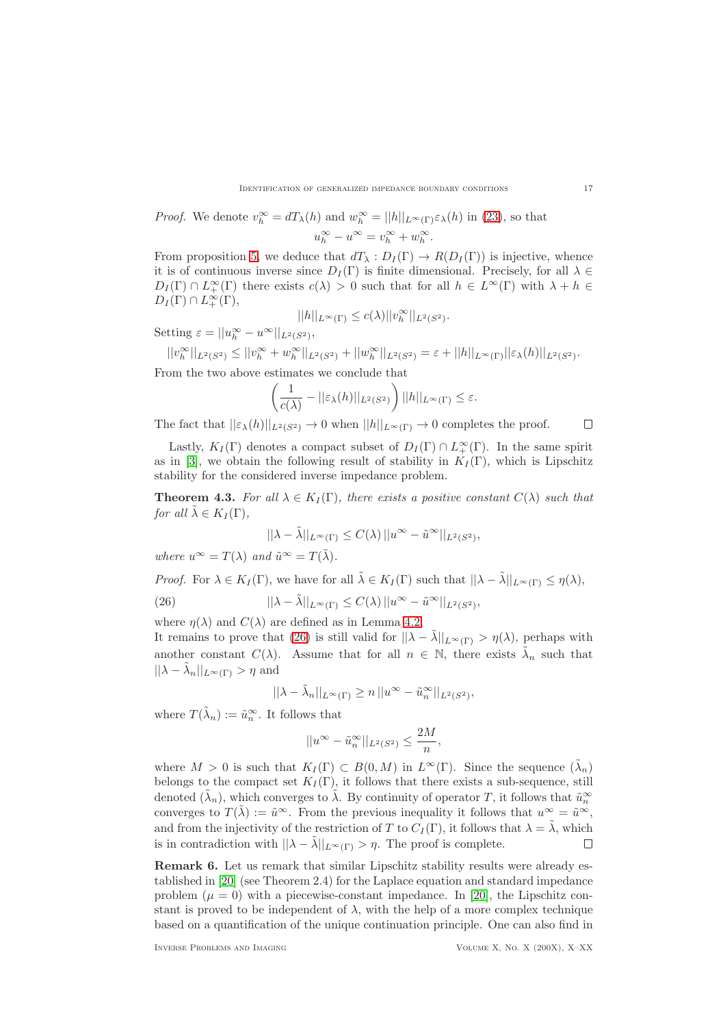*Proof.* We denote 
$$
v_h^{\infty} = dT_{\lambda}(h)
$$
 and  $w_h^{\infty} = ||h||_{L^{\infty}(\Gamma)} \varepsilon_{\lambda}(h)$  in (23), so that  $u_h^{\infty} - u^{\infty} = v_h^{\infty} + w_h^{\infty}$ .

From proposition [5,](#page-13-1) we deduce that  $dT_{\lambda}: D_I(\Gamma) \to R(D_I(\Gamma))$  is injective, whence it is of continuous inverse since  $D_I(\Gamma)$  is finite dimensional. Precisely, for all  $\lambda \in$  $D_I(\Gamma) \cap L_+^{\infty}(\Gamma)$  there exists  $c(\lambda) > 0$  such that for all  $h \in L^{\infty}(\Gamma)$  with  $\lambda + h \in$  $D_I(\Gamma) \cap L_+^{\infty}(\Gamma),$ 

$$
||h||_{L^{\infty}(\Gamma)} \le c(\lambda) ||v_h^{\infty}||_{L^2(S^2)}.
$$

Setting  $\varepsilon = ||u_h^{\infty} - u^{\infty}||_{L^2(S^2)},$ 

$$
||v_h^{\infty}||_{L^2(S^2)} \le ||v_h^{\infty} + w_h^{\infty}||_{L^2(S^2)} + ||w_h^{\infty}||_{L^2(S^2)} = \varepsilon + ||h||_{L^{\infty}(\Gamma)}||\varepsilon_{\lambda}(h)||_{L^2(S^2)}.
$$

From the two above estimates we conclude that

$$
\left(\frac{1}{c(\lambda)} - ||\varepsilon_{\lambda}(h)||_{L^2(S^2)}\right)||h||_{L^{\infty}(\Gamma)} \leq \varepsilon.
$$

The fact that  $||\varepsilon_\lambda(h)||_{L^2(S^2)} \to 0$  when  $||h||_{L^\infty(\Gamma)} \to 0$  completes the proof.  $\Box$ 

Lastly,  $K_I(\Gamma)$  denotes a compact subset of  $D_I(\Gamma) \cap L^{\infty}_{+}(\Gamma)$ . In the same spirit as in [\[3\]](#page-19-9), we obtain the following result of stability in  $K_I(\Gamma)$ , which is Lipschitz stability for the considered inverse impedance problem.

**Theorem 4.3.** *For all*  $\lambda \in K_I(\Gamma)$ *, there exists a positive constant*  $C(\lambda)$  *such that for all*  $\tilde{\lambda} \in K_I(\Gamma)$ ,

<span id="page-16-0"></span>
$$
||\lambda - \tilde{\lambda}||_{L^{\infty}(\Gamma)} \leq C(\lambda) ||u^{\infty} - \tilde{u}^{\infty}||_{L^{2}(S^{2})},
$$

*where*  $u^{\infty} = T(\lambda)$  *and*  $\tilde{u}^{\infty} = T(\tilde{\lambda})$ *.* 

*Proof.* For 
$$
\lambda \in K_I(\Gamma)
$$
, we have for all  $\tilde{\lambda} \in K_I(\Gamma)$  such that  $||\lambda - \tilde{\lambda}||_{L^{\infty}(\Gamma)} \leq \eta(\lambda)$ ,

(26) 
$$
||\lambda - \tilde{\lambda}||_{L^{\infty}(\Gamma)} \leq C(\lambda) ||u^{\infty} - \tilde{u}^{\infty}||_{L^{2}(S^{2})},
$$

where  $\eta(\lambda)$  and  $C(\lambda)$  are defined as in Lemma [4.2.](#page-15-2)

It remains to prove that [\(26\)](#page-16-0) is still valid for  $||\lambda - \tilde{\lambda}||_{L^{\infty}(\Gamma)} > \eta(\lambda)$ , perhaps with another constant  $C(\lambda)$ . Assume that for all  $n \in \mathbb{N}$ , there exists  $\tilde{\lambda}_n$  such that  $||\lambda - \tilde{\lambda}_n||_{L^{\infty}(\Gamma)} > \eta$  and

$$
||\lambda - \tilde{\lambda}_n||_{L^{\infty}(\Gamma)} \ge n ||u^{\infty} - \tilde{u}_n^{\infty}||_{L^2(S^2)},
$$

where  $T(\tilde{\lambda}_n) := \tilde{u}_n^{\infty}$ . It follows that

$$
||u^{\infty} - \tilde{u}_n^{\infty}||_{L^2(S^2)} \le \frac{2M}{n},
$$

where  $M > 0$  is such that  $K_I(\Gamma) \subset B(0,M)$  in  $L^{\infty}(\Gamma)$ . Since the sequence  $(\tilde{\lambda}_n)$ belongs to the compact set  $K_I(\Gamma)$ , it follows that there exists a sub-sequence, still denoted  $(\tilde{\lambda}_n)$ , which converges to  $\tilde{\lambda}$ . By continuity of operator T, it follows that  $\tilde{u}_n^{\infty}$ converges to  $T(\tilde{\lambda}) := \tilde{u}^{\infty}$ . From the previous inequality it follows that  $u^{\infty} = \tilde{u}^{\infty}$ , and from the injectivity of the restriction of T to  $C_I(\Gamma)$ , it follows that  $\lambda = \tilde{\lambda}$ , which is in contradiction with  $||\lambda - \tilde{\lambda}||_{L^{\infty}(\Gamma)} > \eta$ . The proof is complete.  $\Box$ 

Remark 6. Let us remark that similar Lipschitz stability results were already established in [\[20\]](#page-19-14) (see Theorem 2.4) for the Laplace equation and standard impedance problem  $(\mu = 0)$  with a piecewise-constant impedance. In [\[20\]](#page-19-14), the Lipschitz constant is proved to be independent of  $\lambda$ , with the help of a more complex technique based on a quantification of the unique continuation principle. One can also find in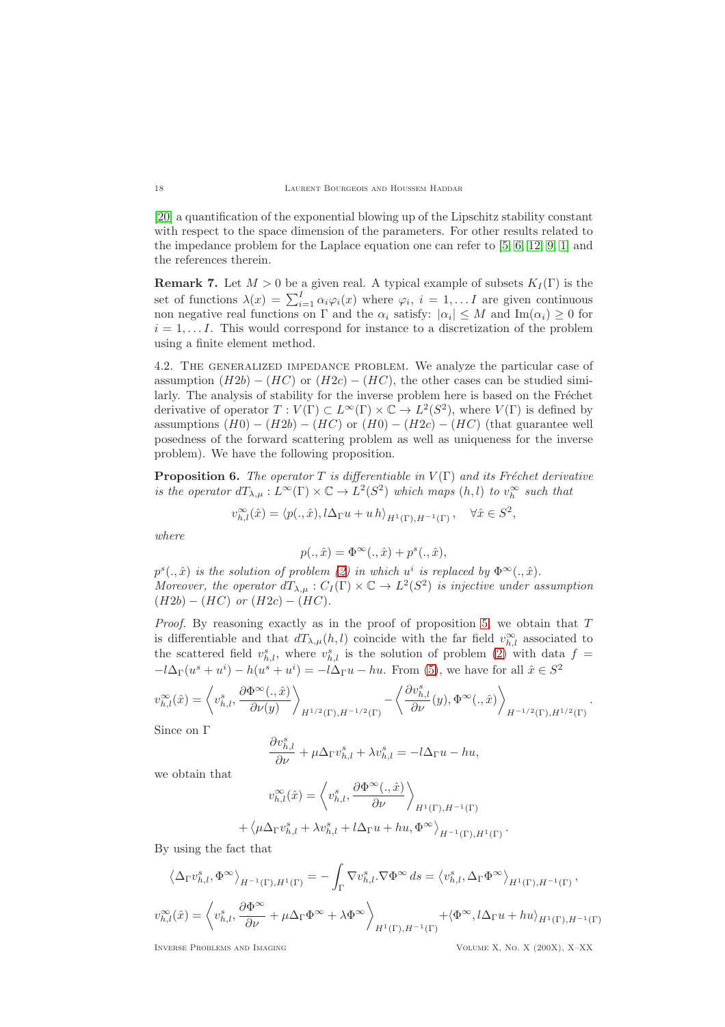[\[20\]](#page-19-14) a quantification of the exponential blowing up of the Lipschitz stability constant with respect to the space dimension of the parameters. For other results related to the impedance problem for the Laplace equation one can refer to [\[5,](#page-19-15) [6,](#page-19-16) [12,](#page-19-17) [9,](#page-19-18) [1\]](#page-19-19) and the references therein.

**Remark 7.** Let  $M > 0$  be a given real. A typical example of subsets  $K_I(\Gamma)$  is the set of functions  $\lambda(x) = \sum_{i=1}^{I} \alpha_i \varphi_i(x)$  where  $\varphi_i$ ,  $i = 1, \ldots I$  are given continuous non negative real functions on  $\Gamma$  and the  $\alpha_i$  satisfy:  $|\alpha_i| \leq M$  and  $\text{Im}(\alpha_i) \geq 0$  for  $i = 1, \ldots I$ . This would correspond for instance to a discretization of the problem using a finite element method.

4.2. The generalized impedance problem. We analyze the particular case of assumption  $(H2b) - (HC)$  or  $(H2c) - (HC)$ , the other cases can be studied similarly. The analysis of stability for the inverse problem here is based on the Fréchet derivative of operator  $T: V(\Gamma) \subset L^{\infty}(\Gamma) \times \mathbb{C} \to L^2(S^2)$ , where  $V(\Gamma)$  is defined by assumptions  $(H0) - (H2b) - (HC)$  or  $(H0) - (H2c) - (HC)$  (that guarantee well posedness of the forward scattering problem as well as uniqueness for the inverse problem). We have the following proposition.

**Proposition 6.** *The operator*  $T$  *is differentiable in*  $V(\Gamma)$  *and its Fréchet derivative is the operator*  $dT_{\lambda,\mu}: L^{\infty}(\Gamma) \times \mathbb{C} \to L^2(S^2)$  which maps  $(h, l)$  to  $v_h^{\infty}$  such that

$$
v^\infty_{h,l}(\hat x)=\langle p(.,\hat x),l\Delta_\Gamma u+u\,h\rangle_{H^1(\Gamma),H^{-1}(\Gamma)}\,,\quad\forall\hat x\in S^2,
$$

*where*

$$
p(.,\hat{x}) = \Phi^{\infty}(.,\hat{x}) + p^s(.,\hat{x}),
$$

 $p^{s}(.,\hat{x})$  *is the solution of problem* [\(2\)](#page-2-0) *in which*  $u^{i}$  *is replaced by*  $\Phi^{\infty}(.,\hat{x})$ *. Moreover, the operator*  $dT_{\lambda,\mu}: C_I(\Gamma) \times \mathbb{C} \to L^2(S^2)$  *is injective under assumption*  $(H2b) - (HC)$  *or*  $(H2c) - (HC)$ *.* 

*Proof.* By reasoning exactly as in the proof of proposition [5,](#page-13-1) we obtain that T is differentiable and that  $dT_{\lambda,\mu}(h,l)$  coincide with the far field  $v_{h,l}^{\infty}$  associated to the scattered field  $v_{h,l}^s$ , where  $v_{h,l}^s$  is the solution of problem [\(2\)](#page-2-0) with data  $f =$  $-l\Delta_{\Gamma}(u^s + u^i) - h(u^s + u^i) = -l\Delta_{\Gamma}u - hu$ . From [\(5\)](#page-4-0), we have for all  $\hat{x} \in S^2$ 

$$
v_{h,l}^{\infty}(\hat{x}) = \left\langle v_{h,l}^{s}, \frac{\partial \Phi^{\infty}(.,\hat{x})}{\partial \nu(y)} \right\rangle_{H^{1/2}(\Gamma), H^{-1/2}(\Gamma)} - \left\langle \frac{\partial v_{h,l}^{s}}{\partial \nu}(y), \Phi^{\infty}(.,\hat{x}) \right\rangle_{H^{-1/2}(\Gamma), H^{1/2}(\Gamma)}
$$

Since on Γ

$$
\frac{\partial v_{h,l}^s}{\partial \nu} + \mu \Delta_{\Gamma} v_{h,l}^s + \lambda v_{h,l}^s = -l \Delta_{\Gamma} u - hu,
$$

we obtain that

$$
v_{h,l}^{\infty}(\hat{x}) = \left\langle v_{h,l}^{s}, \frac{\partial \Phi^{\infty}(.,\hat{x})}{\partial \nu} \right\rangle_{H^{1}(\Gamma), H^{-1}(\Gamma)}
$$

$$
\left\langle \mu \Delta_{\Gamma} v_{h,l}^{s} + \lambda v_{h,l}^{s} + l \Delta_{\Gamma} u + hu, \Phi^{\infty} \right\rangle_{H^{-1}(\Gamma), H^{1}(\Gamma)}.
$$

By using the fact that

+

$$
\left\langle \Delta_{\Gamma} v_{h,l}^{s}, \Phi^{\infty} \right\rangle_{H^{-1}(\Gamma), H^{1}(\Gamma)} = -\int_{\Gamma} \nabla v_{h,l}^{s} \cdot \nabla \Phi^{\infty} ds = \left\langle v_{h,l}^{s}, \Delta_{\Gamma} \Phi^{\infty} \right\rangle_{H^{1}(\Gamma), H^{-1}(\Gamma)},
$$
  

$$
v_{h,l}^{\infty}(\hat{x}) = \left\langle v_{h,l}^{s}, \frac{\partial \Phi^{\infty}}{\partial \nu} + \mu \Delta_{\Gamma} \Phi^{\infty} + \lambda \Phi^{\infty} \right\rangle_{H^{1}(\Gamma), H^{-1}(\Gamma)} + \left\langle \Phi^{\infty}, l \Delta_{\Gamma} u + h u \right\rangle_{H^{1}(\Gamma), H^{-1}(\Gamma)}
$$

.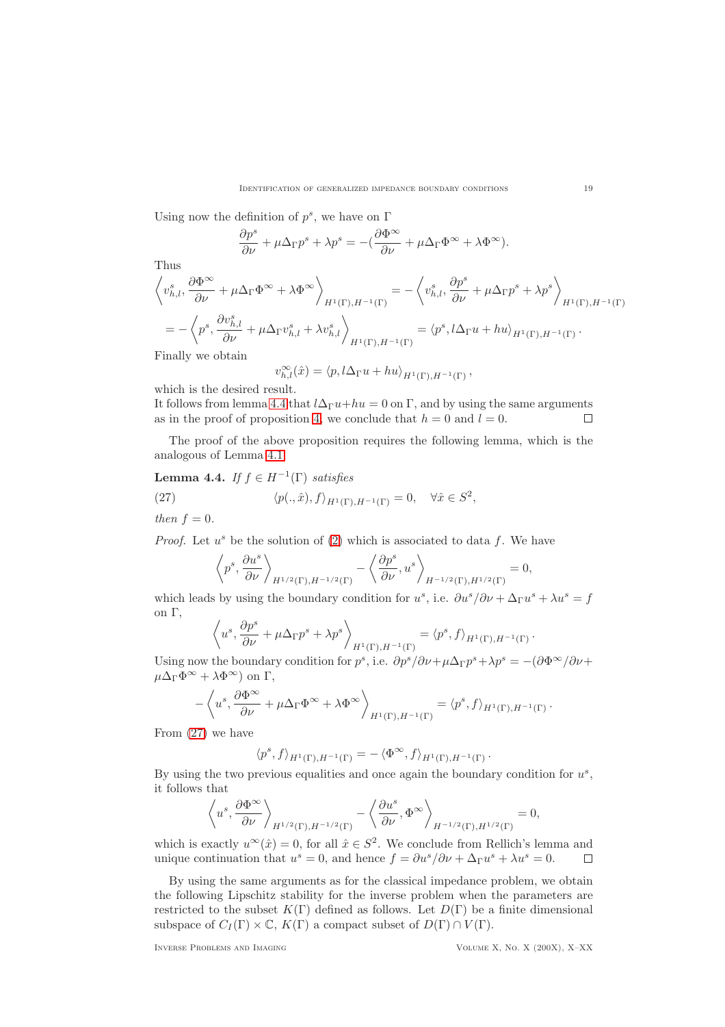Using now the definition of  $p^s$ , we have on  $\Gamma$ 

$$
\frac{\partial p^s}{\partial \nu} + \mu \Delta_{\Gamma} p^s + \lambda p^s = -(\frac{\partial \Phi^{\infty}}{\partial \nu} + \mu \Delta_{\Gamma} \Phi^{\infty} + \lambda \Phi^{\infty}).
$$

Thus

$$
\left\langle v_{h,l}^{s}, \frac{\partial \Phi^{\infty}}{\partial \nu} + \mu \Delta_{\Gamma} \Phi^{\infty} + \lambda \Phi^{\infty} \right\rangle_{H^{1}(\Gamma), H^{-1}(\Gamma)} = -\left\langle v_{h,l}^{s}, \frac{\partial p^{s}}{\partial \nu} + \mu \Delta_{\Gamma} p^{s} + \lambda p^{s} \right\rangle_{H^{1}(\Gamma), H^{-1}(\Gamma)}
$$
  
=  $-\left\langle p^{s}, \frac{\partial v_{h,l}^{s}}{\partial \nu} + \mu \Delta_{\Gamma} v_{h,l}^{s} + \lambda v_{h,l}^{s} \right\rangle_{H^{1}(\Gamma), H^{-1}(\Gamma)} = \left\langle p^{s}, l \Delta_{\Gamma} u + h u \right\rangle_{H^{1}(\Gamma), H^{-1}(\Gamma)}.$ 

Finally we obtain

$$
v_{h,l}^{\infty}(\hat{x}) = \langle p, l\Delta_{\Gamma}u + hu \rangle_{H^1(\Gamma), H^{-1}(\Gamma)},
$$

which is the desired result.

It follows from lemma [4.4](#page-18-0) that  $l\Delta_{\Gamma}u+hu=0$  on  $\Gamma$ , and by using the same arguments as in the proof of proposition [4,](#page-11-0) we conclude that  $h = 0$  and  $l = 0$ .  $\Box$ 

The proof of the above proposition requires the following lemma, which is the analogous of Lemma [4.1.](#page-15-0)

# <span id="page-18-0"></span>**Lemma 4.4.** *If*  $f \in H^{-1}(\Gamma)$  *satisfies*

(27) 
$$
\langle p(.,\hat{x}), f \rangle_{H^1(\Gamma), H^{-1}(\Gamma)} = 0, \quad \forall \hat{x} \in S^2,
$$

*then*  $f = 0$ *.* 

*Proof.* Let  $u^s$  be the solution of [\(2\)](#page-2-0) which is associated to data f. We have

<span id="page-18-1"></span>
$$
\left\langle p^s, \frac{\partial u^s}{\partial \nu} \right\rangle_{H^{1/2}(\Gamma), H^{-1/2}(\Gamma)} - \left\langle \frac{\partial p^s}{\partial \nu}, u^s \right\rangle_{H^{-1/2}(\Gamma), H^{1/2}(\Gamma)} = 0,
$$

which leads by using the boundary condition for  $u^s$ , i.e.  $\partial u^s / \partial \nu + \Delta_{\Gamma} u^s + \lambda u^s = f$ on Γ,

$$
\left\langle u^s, \frac{\partial p^s}{\partial \nu} + \mu \Delta_{\Gamma} p^s + \lambda p^s \right\rangle_{H^1(\Gamma), H^{-1}(\Gamma)} = \left\langle p^s, f \right\rangle_{H^1(\Gamma), H^{-1}(\Gamma)}.
$$

Using now the boundary condition for  $p^s$ , i.e.  $\partial p^s / \partial \nu + \mu \Delta_{\Gamma} p^s + \lambda p^s = -(\partial \Phi^{\infty}/\partial \nu + \Psi^s)$  $\mu\Delta_{\Gamma}\Phi^{\infty} + \lambda \Phi^{\infty}$  on  $\Gamma$ ,

$$
-\left\langle u^s, \frac{\partial \Phi^{\infty}}{\partial \nu} + \mu \Delta_{\Gamma} \Phi^{\infty} + \lambda \Phi^{\infty} \right\rangle_{H^1(\Gamma), H^{-1}(\Gamma)} = \left\langle p^s, f \right\rangle_{H^1(\Gamma), H^{-1}(\Gamma)}.
$$

From [\(27\)](#page-18-1) we have

$$
\langle p^s, f \rangle_{H^1(\Gamma), H^{-1}(\Gamma)} = - \langle \Phi^{\infty}, f \rangle_{H^1(\Gamma), H^{-1}(\Gamma)}.
$$

By using the two previous equalities and once again the boundary condition for  $u^s$ , it follows that

$$
\left\langle u^s, \frac{\partial \Phi^{\infty}}{\partial \nu} \right\rangle_{H^{1/2}(\Gamma), H^{-1/2}(\Gamma)} - \left\langle \frac{\partial u^s}{\partial \nu}, \Phi^{\infty} \right\rangle_{H^{-1/2}(\Gamma), H^{1/2}(\Gamma)} = 0,
$$

which is exactly  $u^{\infty}(\hat{x}) = 0$ , for all  $\hat{x} \in S^2$ . We conclude from Rellich's lemma and unique continuation that  $u^s = 0$ , and hence  $f = \partial u^s / \partial \nu + \Delta_{\Gamma} u^s + \lambda u^s = 0$ .  $\Box$ 

By using the same arguments as for the classical impedance problem, we obtain the following Lipschitz stability for the inverse problem when the parameters are restricted to the subset  $K(\Gamma)$  defined as follows. Let  $D(\Gamma)$  be a finite dimensional subspace of  $C_I(\Gamma) \times \mathbb{C}$ ,  $K(\Gamma)$  a compact subset of  $D(\Gamma) \cap V(\Gamma)$ .